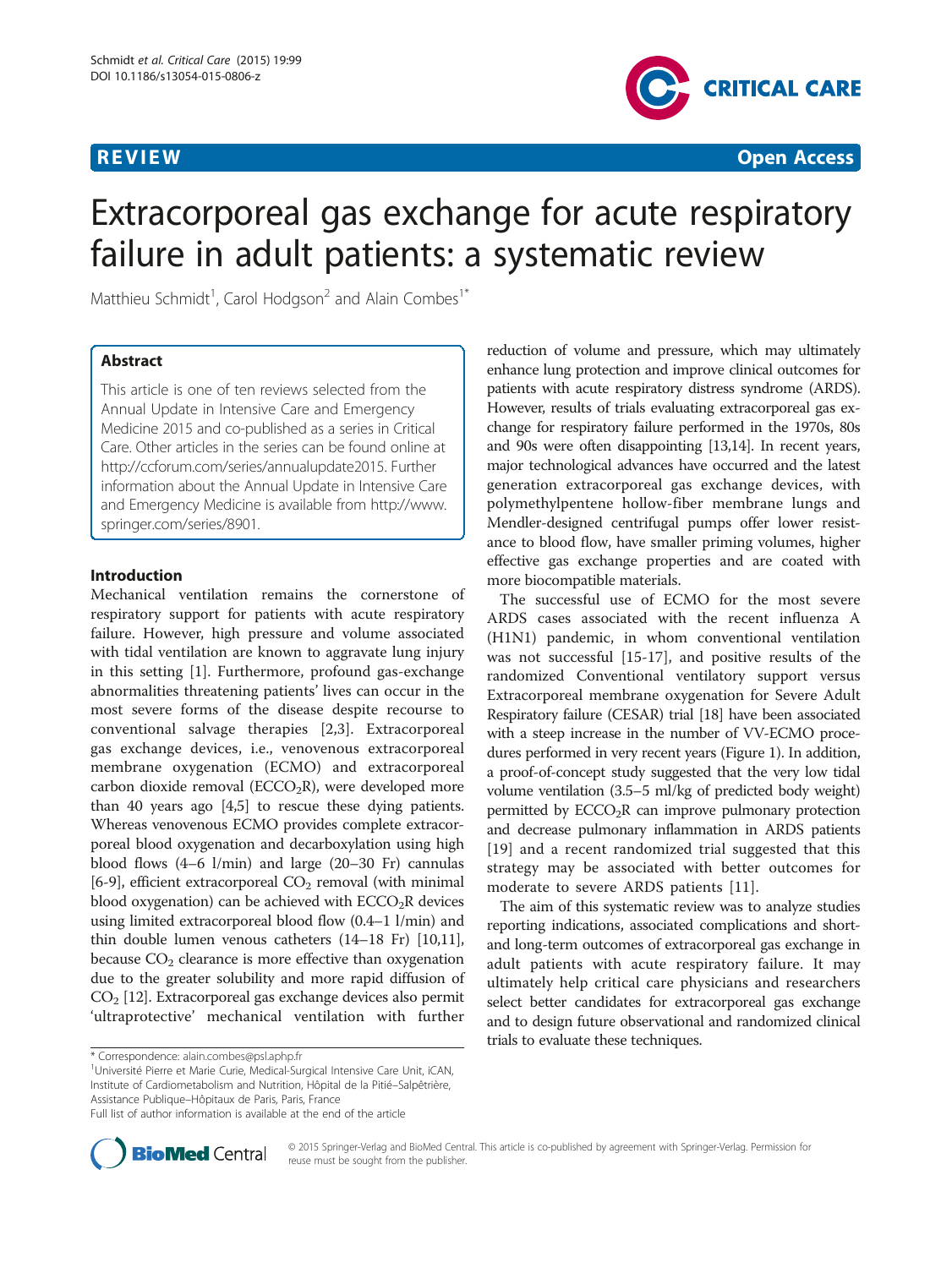

**REVIEW CONSTRUCTION CONSTRUCTION CONSTRUCTION CONSTRUCTS** 

# Extracorporeal gas exchange for acute respiratory failure in adult patients: a systematic review

Matthieu Schmidt<sup>1</sup>, Carol Hodgson<sup>2</sup> and Alain Combes<sup>1\*</sup>

# Abstract

This article is one of ten reviews selected from the Annual Update in Intensive Care and Emergency Medicine 2015 and co-published as a series in Critical Care. Other articles in the series can be found online at <http://ccforum.com/series/annualupdate2015>. Further information about the Annual Update in Intensive Care and Emergency Medicine is available from [http://www.](http://www.springer.com/series/8901) [springer.com/series/8901](http://www.springer.com/series/8901).

#### Introduction

Mechanical ventilation remains the cornerstone of respiratory support for patients with acute respiratory failure. However, high pressure and volume associated with tidal ventilation are known to aggravate lung injury in this setting [[1\]](#page-11-0). Furthermore, profound gas-exchange abnormalities threatening patients' lives can occur in the most severe forms of the disease despite recourse to conventional salvage therapies [[2,3](#page-11-0)]. Extracorporeal gas exchange devices, i.e., venovenous extracorporeal membrane oxygenation (ECMO) and extracorporeal carbon dioxide removal ( $ECCO<sub>2</sub>R$ ), were developed more than 40 years ago [\[4,5](#page-11-0)] to rescue these dying patients. Whereas venovenous ECMO provides complete extracorporeal blood oxygenation and decarboxylation using high blood flows (4–6 l/min) and large (20–30 Fr) cannulas [[6-](#page-11-0)[9\]](#page-12-0), efficient extracorporeal  $CO<sub>2</sub>$  removal (with minimal blood oxygenation) can be achieved with  $ECCO<sub>2</sub>R$  devices using limited extracorporeal blood flow (0.4–1 l/min) and thin double lumen venous catheters (14–18 Fr) [\[10,11](#page-12-0)], because  $CO<sub>2</sub>$  clearance is more effective than oxygenation due to the greater solubility and more rapid diffusion of CO2 [\[12\]](#page-12-0). Extracorporeal gas exchange devices also permit 'ultraprotective' mechanical ventilation with further

Université Pierre et Marie Curie, Medical-Surgical Intensive Care Unit, iCAN, Institute of Cardiometabolism and Nutrition, Hôpital de la Pitié–Salpêtrière, Assistance Publique–Hôpitaux de Paris, Paris, France

reduction of volume and pressure, which may ultimately enhance lung protection and improve clinical outcomes for patients with acute respiratory distress syndrome (ARDS). However, results of trials evaluating extracorporeal gas exchange for respiratory failure performed in the 1970s, 80s and 90s were often disappointing [\[13,14\]](#page-12-0). In recent years, major technological advances have occurred and the latest generation extracorporeal gas exchange devices, with polymethylpentene hollow-fiber membrane lungs and Mendler-designed centrifugal pumps offer lower resistance to blood flow, have smaller priming volumes, higher effective gas exchange properties and are coated with more biocompatible materials.

The successful use of ECMO for the most severe ARDS cases associated with the recent influenza A (H1N1) pandemic, in whom conventional ventilation was not successful [[15-17](#page-12-0)], and positive results of the randomized Conventional ventilatory support versus Extracorporeal membrane oxygenation for Severe Adult Respiratory failure (CESAR) trial [\[18\]](#page-12-0) have been associated with a steep increase in the number of VV-ECMO procedures performed in very recent years (Figure [1\)](#page-1-0). In addition, a proof-of-concept study suggested that the very low tidal volume ventilation (3.5–5 ml/kg of predicted body weight) permitted by  $ECCO<sub>2</sub>R$  can improve pulmonary protection and decrease pulmonary inflammation in ARDS patients [[19\]](#page-12-0) and a recent randomized trial suggested that this strategy may be associated with better outcomes for moderate to severe ARDS patients [[11\]](#page-12-0).

The aim of this systematic review was to analyze studies reporting indications, associated complications and shortand long-term outcomes of extracorporeal gas exchange in adult patients with acute respiratory failure. It may ultimately help critical care physicians and researchers select better candidates for extracorporeal gas exchange and to design future observational and randomized clinical trials to evaluate these techniques.



© 2015 Springer-Verlag and BioMed Central. This article is co-published by agreement with Springer-Verlag. Permission for reuse must be sought from the publisher.

<sup>\*</sup> Correspondence: [alain.combes@psl.aphp.fr](mailto:alain.combes@psl.aphp.fr) <sup>1</sup>

Full list of author information is available at the end of the article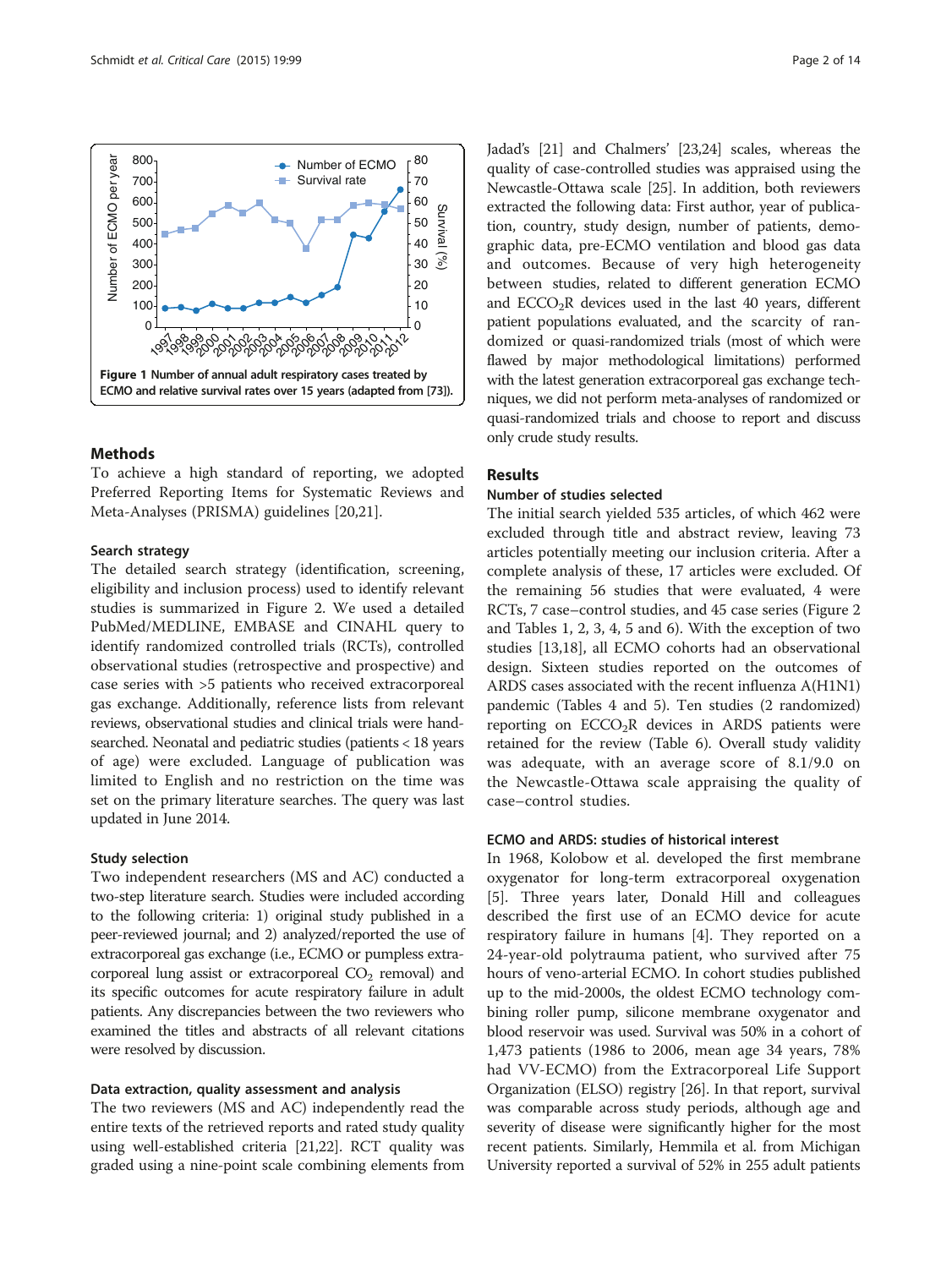<span id="page-1-0"></span>

# Methods

To achieve a high standard of reporting, we adopted Preferred Reporting Items for Systematic Reviews and Meta-Analyses (PRISMA) guidelines [\[20,21](#page-12-0)].

#### Search strategy

The detailed search strategy (identification, screening, eligibility and inclusion process) used to identify relevant studies is summarized in Figure [2.](#page-2-0) We used a detailed PubMed/MEDLINE, EMBASE and CINAHL query to identify randomized controlled trials (RCTs), controlled observational studies (retrospective and prospective) and case series with >5 patients who received extracorporeal gas exchange. Additionally, reference lists from relevant reviews, observational studies and clinical trials were handsearched. Neonatal and pediatric studies (patients < 18 years of age) were excluded. Language of publication was limited to English and no restriction on the time was set on the primary literature searches. The query was last updated in June 2014.

#### Study selection

Two independent researchers (MS and AC) conducted a two-step literature search. Studies were included according to the following criteria: 1) original study published in a peer-reviewed journal; and 2) analyzed/reported the use of extracorporeal gas exchange (i.e., ECMO or pumpless extracorporeal lung assist or extracorporeal  $CO<sub>2</sub>$  removal) and its specific outcomes for acute respiratory failure in adult patients. Any discrepancies between the two reviewers who examined the titles and abstracts of all relevant citations were resolved by discussion.

#### Data extraction, quality assessment and analysis

The two reviewers (MS and AC) independently read the entire texts of the retrieved reports and rated study quality using well-established criteria [[21,22](#page-12-0)]. RCT quality was graded using a nine-point scale combining elements from Jadad's [\[21\]](#page-12-0) and Chalmers' [\[23,24\]](#page-12-0) scales, whereas the quality of case-controlled studies was appraised using the Newcastle-Ottawa scale [\[25\]](#page-12-0). In addition, both reviewers extracted the following data: First author, year of publication, country, study design, number of patients, demographic data, pre-ECMO ventilation and blood gas data and outcomes. Because of very high heterogeneity between studies, related to different generation ECMO and  $ECCO<sub>2</sub>R$  devices used in the last 40 years, different patient populations evaluated, and the scarcity of randomized or quasi-randomized trials (most of which were flawed by major methodological limitations) performed with the latest generation extracorporeal gas exchange techniques, we did not perform meta-analyses of randomized or quasi-randomized trials and choose to report and discuss only crude study results.

#### Results

#### Number of studies selected

The initial search yielded 535 articles, of which 462 were excluded through title and abstract review, leaving 73 articles potentially meeting our inclusion criteria. After a complete analysis of these, 17 articles were excluded. Of the remaining 56 studies that were evaluated, 4 were RCTs, 7 case–control studies, and 45 case series (Figure [2](#page-2-0) and Tables [1](#page-3-0), [2](#page-4-0), [3](#page-5-0), [4](#page-6-0), [5](#page-7-0) and [6](#page-8-0)). With the exception of two studies [[13,18\]](#page-12-0), all ECMO cohorts had an observational design. Sixteen studies reported on the outcomes of ARDS cases associated with the recent influenza A(H1N1) pandemic (Tables [4](#page-6-0) and [5\)](#page-7-0). Ten studies (2 randomized) reporting on  $ECCO<sub>2</sub>R$  devices in ARDS patients were retained for the review (Table [6](#page-8-0)). Overall study validity was adequate, with an average score of 8.1/9.0 on the Newcastle-Ottawa scale appraising the quality of case–control studies.

#### ECMO and ARDS: studies of historical interest

In 1968, Kolobow et al. developed the first membrane oxygenator for long-term extracorporeal oxygenation [[5\]](#page-11-0). Three years later, Donald Hill and colleagues described the first use of an ECMO device for acute respiratory failure in humans [[4\]](#page-11-0). They reported on a 24-year-old polytrauma patient, who survived after 75 hours of veno-arterial ECMO. In cohort studies published up to the mid-2000s, the oldest ECMO technology combining roller pump, silicone membrane oxygenator and blood reservoir was used. Survival was 50% in a cohort of 1,473 patients (1986 to 2006, mean age 34 years, 78% had VV-ECMO) from the Extracorporeal Life Support Organization (ELSO) registry [\[26\]](#page-12-0). In that report, survival was comparable across study periods, although age and severity of disease were significantly higher for the most recent patients. Similarly, Hemmila et al. from Michigan University reported a survival of 52% in 255 adult patients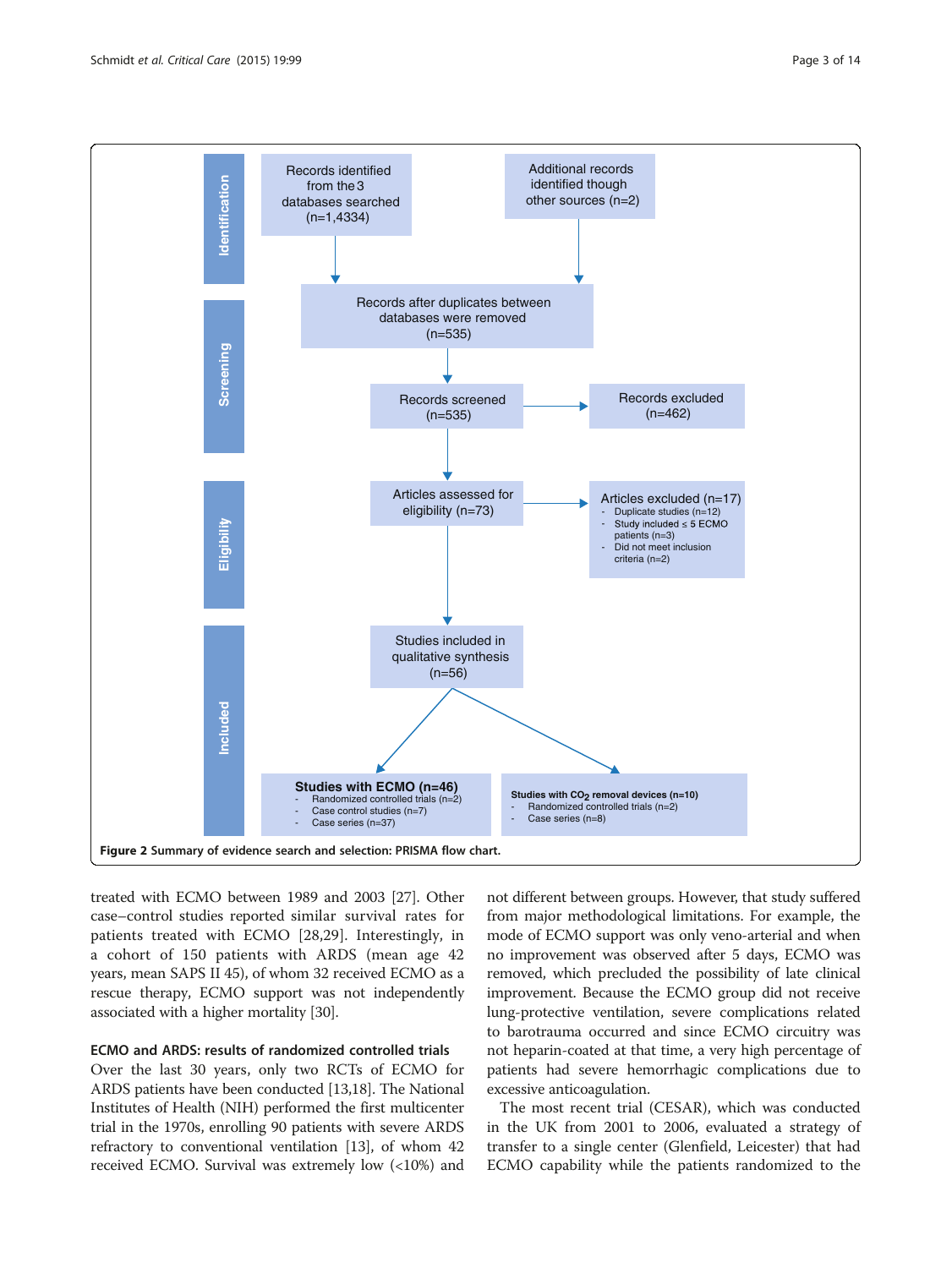<span id="page-2-0"></span>

treated with ECMO between 1989 and 2003 [\[27\]](#page-12-0). Other case–control studies reported similar survival rates for patients treated with ECMO [[28,29](#page-12-0)]. Interestingly, in a cohort of 150 patients with ARDS (mean age 42 years, mean SAPS II 45), of whom 32 received ECMO as a rescue therapy, ECMO support was not independently associated with a higher mortality [\[30\]](#page-12-0).

#### ECMO and ARDS: results of randomized controlled trials

Over the last 30 years, only two RCTs of ECMO for ARDS patients have been conducted [\[13,18\]](#page-12-0). The National Institutes of Health (NIH) performed the first multicenter trial in the 1970s, enrolling 90 patients with severe ARDS refractory to conventional ventilation [\[13\]](#page-12-0), of whom 42 received ECMO. Survival was extremely low (<10%) and

not different between groups. However, that study suffered from major methodological limitations. For example, the mode of ECMO support was only veno-arterial and when no improvement was observed after 5 days, ECMO was removed, which precluded the possibility of late clinical improvement. Because the ECMO group did not receive lung-protective ventilation, severe complications related to barotrauma occurred and since ECMO circuitry was not heparin-coated at that time, a very high percentage of patients had severe hemorrhagic complications due to excessive anticoagulation.

The most recent trial (CESAR), which was conducted in the UK from 2001 to 2006, evaluated a strategy of transfer to a single center (Glenfield, Leicester) that had ECMO capability while the patients randomized to the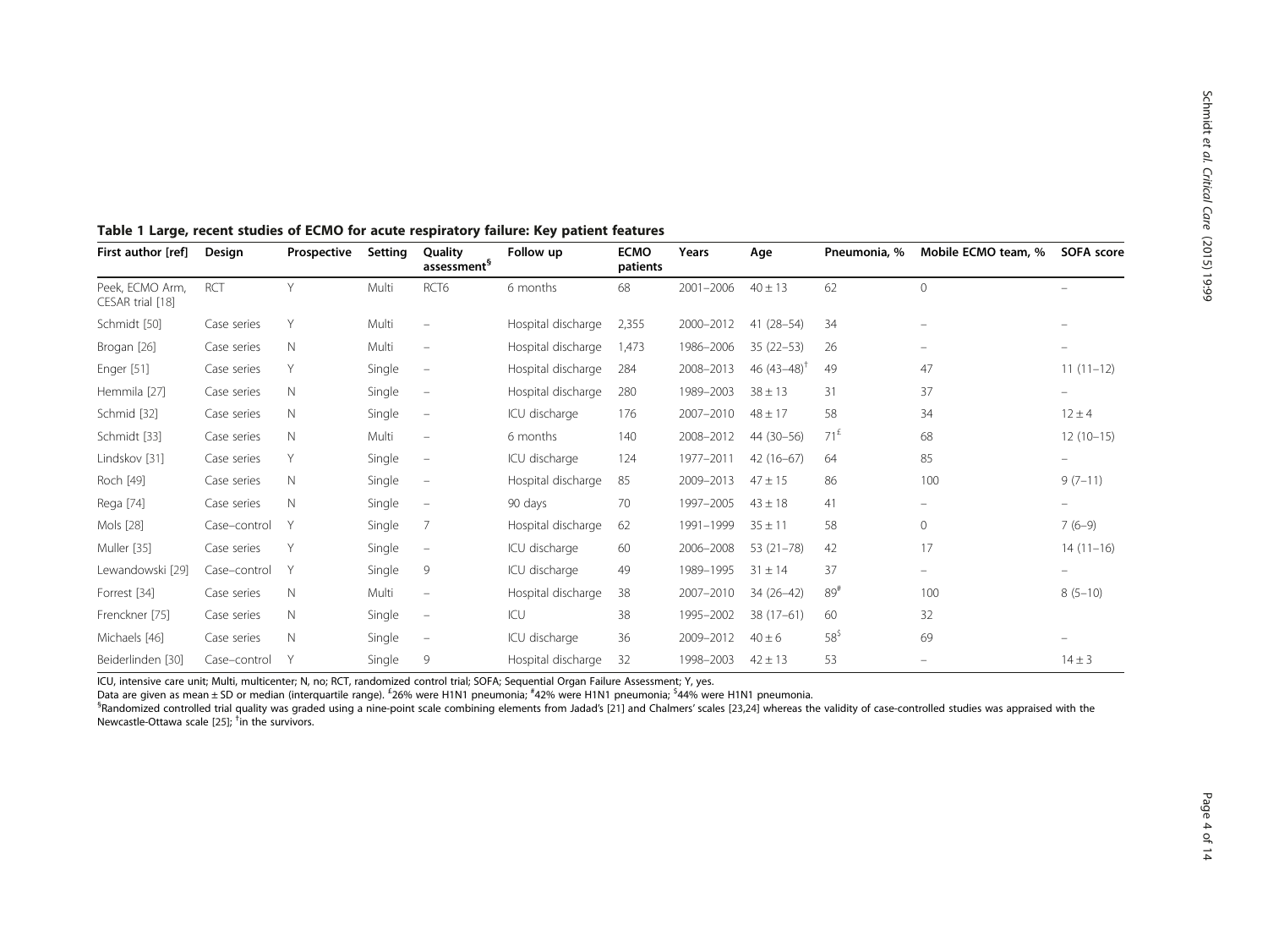| First author [ref]                  | Design       | Prospective | Setting | Quality<br>assessment <sup>§</sup> | Follow up          | <b>ECMO</b><br>patients | Years     | Age                       | Pneumonia, %    | Mobile ECMO team, % | SOFA score               |
|-------------------------------------|--------------|-------------|---------|------------------------------------|--------------------|-------------------------|-----------|---------------------------|-----------------|---------------------|--------------------------|
| Peek, ECMO Arm,<br>CESAR trial [18] | <b>RCT</b>   | Y           | Multi   | RCT <sub>6</sub>                   | 6 months           | 68                      | 2001-2006 | $40 \pm 13$               | 62              | $\mathbf{0}$        |                          |
| Schmidt [50]                        | Case series  | Υ           | Multi   | $\overline{\phantom{m}}$           | Hospital discharge | 2,355                   | 2000-2012 | $41(28-54)$               | 34              |                     |                          |
| Brogan [26]                         | Case series  | N           | Multi   | $\overline{\phantom{m}}$           | Hospital discharge | 1.473                   | 1986-2006 | $35(22 - 53)$             | 26              |                     |                          |
| Enger [51]                          | Case series  | Y           | Single  | $\overline{\phantom{m}}$           | Hospital discharge | 284                     | 2008-2013 | 46 $(43-48)$ <sup>1</sup> | 49              | 47                  | $11(11-12)$              |
| Hemmila [27]                        | Case series  | N           | Single  | $\overline{\phantom{m}}$           | Hospital discharge | 280                     | 1989-2003 | $38 \pm 13$               | 31              | 37                  | $\overline{\phantom{0}}$ |
| Schmid [32]                         | Case series  | N           | Single  | $\overline{\phantom{m}}$           | ICU discharge      | 176                     | 2007-2010 | $48 \pm 17$               | 58              | 34                  | $12 \pm 4$               |
| Schmidt [33]                        | Case series  | N           | Multi   | $\overline{\phantom{m}}$           | 6 months           | 140                     | 2008-2012 | 44 (30-56)                | $71^E$          | 68                  | $12(10-15)$              |
| Lindskov [31]                       | Case series  | Υ           | Single  | $\overline{\phantom{m}}$           | ICU discharge      | 124                     | 1977-2011 | $42(16-67)$               | 64              | 85                  | -                        |
| Roch [49]                           | Case series  | N           | Single  | $\overline{\phantom{m}}$           | Hospital discharge | 85                      | 2009-2013 | $47 \pm 15$               | 86              | 100                 | $9(7-11)$                |
| Rega [74]                           | Case series  | N           | Single  | $\overline{\phantom{a}}$           | 90 days            | 70                      | 1997-2005 | $43 \pm 18$               | 41              |                     |                          |
| Mols [28]                           | Case-control | Y           | Single  | 7                                  | Hospital discharge | 62                      | 1991-1999 | $35 \pm 11$               | 58              | $\mathbf 0$         | $7(6-9)$                 |
| Muller [35]                         | Case series  | Y           | Single  | $\overline{\phantom{m}}$           | ICU discharge      | 60                      | 2006-2008 | $53(21 - 78)$             | 42              | 17                  | $14(11-16)$              |
| Lewandowski [29]                    | Case-control | Y           | Single  | 9                                  | ICU discharge      | 49                      | 1989-1995 | $31 \pm 14$               | 37              |                     |                          |
| Forrest [34]                        | Case series  | N           | Multi   | $\qquad \qquad -$                  | Hospital discharge | 38                      | 2007-2010 | $34(26-42)$               | 89#             | 100                 | $8(5-10)$                |
| Frenckner [75]                      | Case series  | N           | Single  | $\qquad \qquad -$                  | ICU                | 38                      | 1995-2002 | $38(17-61)$               | 60              | 32                  |                          |
| Michaels [46]                       | Case series  | N           | Single  | $\overline{\phantom{m}}$           | ICU discharge      | 36                      | 2009-2012 | $40 \pm 6$                | $58^{\text{S}}$ | 69                  |                          |
| Beiderlinden [30]                   | Case-control | Y           | Single  | 9                                  | Hospital discharge | 32                      | 1998-2003 | $42 \pm 13$               | 53              |                     | $14 \pm 3$               |

#### <span id="page-3-0"></span>Table 1 Large, recent studies of ECMO for acute respiratory failure: Key patient features

ICU, intensive care unit; Multi, multicenter; N, no; RCT, randomized control trial; SOFA; Sequential Organ Failure Assessment; Y, yes.

Data are given as mean ± SD or median (interquartile range). <sup>£</sup>26% were H1N1 pneumonia; <sup>#</sup>42% were H1N1 pneumonia; <sup>\$</sup>44% were H1N1 pneumonia.<br><sup>§p</sup>andomized controlled trial quality was graded using a nine-point scale co

<sup>§</sup>Randomized controlled trial quality was graded using a nine-point scale combining elements from Jadad's [[21](#page-12-0)] and Chalmers' scales [[23,24\]](#page-12-0) whereas the validity of case-controlled studies was appraised with the Newcastle-Ottawa scale [[25\]](#page-12-0); † in the survivors.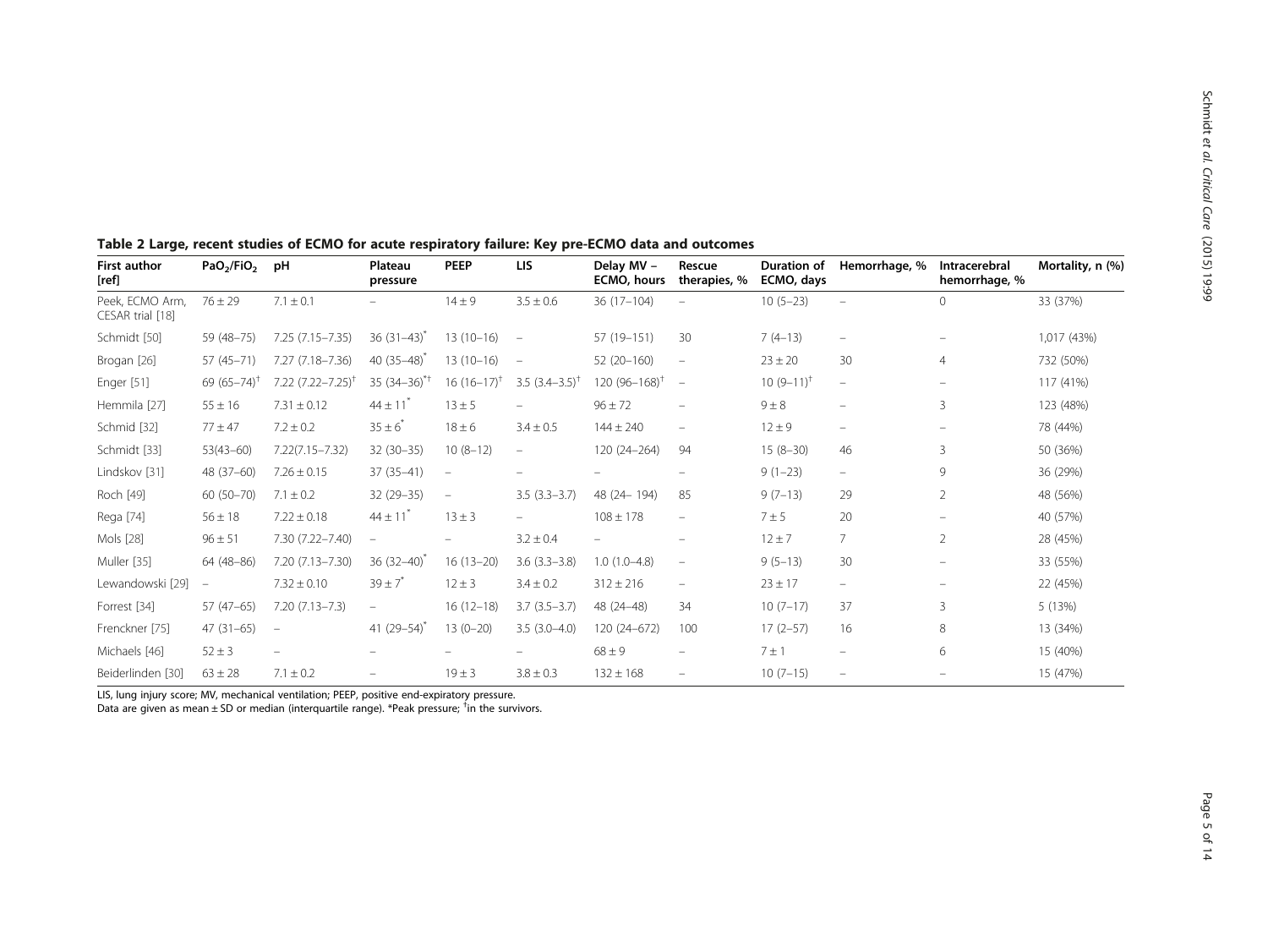| <b>First author</b><br>[ref]        | PaO <sub>2</sub> /FiO <sub>2</sub> | pH                            | Plateau<br>pressure      | <b>PEEP</b>              | <b>LIS</b>                | Delay MV -<br><b>ECMO, hours</b> | Rescue<br>therapies, %          | <b>Duration of</b><br>ECMO, days | Hemorrhage, %            | Intracerebral<br>hemorrhage, % | Mortality, n (%) |
|-------------------------------------|------------------------------------|-------------------------------|--------------------------|--------------------------|---------------------------|----------------------------------|---------------------------------|----------------------------------|--------------------------|--------------------------------|------------------|
| Peek, ECMO Arm,<br>CESAR trial [18] | $76 \pm 29$                        | $7.1 \pm 0.1$                 |                          | $14 \pm 9$               | $3.5 \pm 0.6$             | $36(17-104)$                     |                                 | $10(5-23)$                       | $\overline{\phantom{a}}$ | $\mathbf{0}$                   | 33 (37%)         |
| Schmidt [50]                        | 59 (48-75)                         | 7.25 (7.15 - 7.35)            | $36(31-43)$              | $13(10-16)$              | $\overline{\phantom{a}}$  | 57 (19-151)                      | 30                              | $7(4-13)$                        | $\overline{\phantom{m}}$ |                                | 1,017 (43%)      |
| Brogan [26]                         | 57 (45-71)                         | 7.27 (7.18-7.36)              | 40 $(35-48)$             | $13(10-16)$              | $\overline{\phantom{a}}$  | 52 (20-160)                      | $\hspace{0.1mm}-\hspace{0.1mm}$ | $23 \pm 20$                      | 30                       | $\overline{4}$                 | 732 (50%)        |
| Enger [51]                          | 69 $(65 - 74)$                     | 7.22 (7.22–7.25) <sup>1</sup> | $35(34-36)^{*}$          | $16(16-17)^{+}$          | 3.5 $(3.4-3.5)^{\dagger}$ | 120 $(96 - 168)^{+}$             | $\hspace{0.1mm}-\hspace{0.1mm}$ | $10(9-11)^{t}$                   | $\overline{\phantom{m}}$ |                                | 117 (41%)        |
| Hemmila [27]                        | $55 \pm 16$                        | $7.31 \pm 0.12$               | $44 \pm 11$              | $13 \pm 5$               | $\overline{\phantom{0}}$  | $96 \pm 72$                      | $\qquad \qquad =$               | $9 \pm 8$                        | $\overline{\phantom{m}}$ | $\overline{3}$                 | 123 (48%)        |
| Schmid [32]                         | $77 + 47$                          | $7.2 \pm 0.2$                 | $35 \pm 6^{*}$           | $18 \pm 6$               | $3.4 \pm 0.5$             | $144 \pm 240$                    | $\qquad \qquad -$               | $12 \pm 9$                       | $\overline{\phantom{m}}$ |                                | 78 (44%)         |
| Schmidt [33]                        | $53(43 - 60)$                      | $7.22(7.15 - 7.32)$           | $32(30-35)$              | $10(8-12)$               | $\qquad \qquad =$         | 120 (24-264)                     | 94                              | $15(8-30)$                       | 46                       | $\overline{3}$                 | 50 (36%)         |
| Lindskov [31]                       | 48 (37-60)                         | $7.26 \pm 0.15$               | $37(35 - 41)$            | $\overline{\phantom{a}}$ |                           |                                  |                                 | $9(1-23)$                        | $\overline{\phantom{m}}$ | 9                              | 36 (29%)         |
| Roch [49]                           | $60(50 - 70)$                      | $7.1 \pm 0.2$                 | 32 (29-35)               | $\overline{\phantom{a}}$ | $3.5(3.3-3.7)$            | 48 (24 - 194)                    | 85                              | $9(7-13)$                        | 29                       | $\overline{2}$                 | 48 (56%)         |
| Rega [74]                           | $56 \pm 18$                        | $7.22 \pm 0.18$               | $44 \pm 11$              | $13 \pm 3$               |                           | $108 \pm 178$                    | $\overline{\phantom{m}}$        | 7 ± 5                            | 20                       |                                | 40 (57%)         |
| Mols [28]                           | $96 \pm 51$                        | 7.30 (7.22-7.40)              | $\overline{\phantom{a}}$ |                          | $3.2 \pm 0.4$             |                                  |                                 | $12 \pm 7$                       | $\overline{7}$           | 2                              | 28 (45%)         |
| Muller [35]                         | 64 (48-86)                         | 7.20 (7.13-7.30)              | 36 $(32-40)$             | $16(13-20)$              | $3.6(3.3-3.8)$            | $1.0(1.0-4.8)$                   | $\overline{\phantom{m}}$        | $9(5-13)$                        | 30                       |                                | 33 (55%)         |
| Lewandowski [29]                    | $\overline{\phantom{a}}$           | $7.32 \pm 0.10$               | $39 \pm 7^{*}$           | $12 \pm 3$               | $3.4 \pm 0.2$             | $312 \pm 216$                    | $\overline{\phantom{m}}$        | $23 \pm 17$                      | $\overline{\phantom{m}}$ |                                | 22 (45%)         |
| Forrest [34]                        | $57(47-65)$                        | $7.20(7.13 - 7.3)$            | $\overline{\phantom{a}}$ | $16(12-18)$              | $3.7(3.5-3.7)$            | 48 (24-48)                       | 34                              | $10(7-17)$                       | 37                       | 3                              | 5 (13%)          |
| Frenckner [75]                      | $47(31-65)$                        | $\overline{\phantom{a}}$      | 41 $(29-54)^{n}$         | $13(0-20)$               | $3.5(3.0-4.0)$            | 120 (24-672)                     | 100                             | $17(2-57)$                       | 16                       | 8                              | 13 (34%)         |
| Michaels [46]                       | $52 \pm 3$                         |                               |                          |                          |                           | $68 \pm 9$                       |                                 | $7 \pm 1$                        | $\overline{\phantom{m}}$ | 6                              | 15 (40%)         |
| Beiderlinden [30]                   | $63 \pm 28$                        | $7.1 \pm 0.2$                 | $\overline{\phantom{0}}$ | $19 \pm 3$               | $3.8 \pm 0.3$             | $132 \pm 168$                    |                                 | $10(7-15)$                       | $\overline{\phantom{m}}$ |                                | 15 (47%)         |

# <span id="page-4-0"></span>Table 2 Large, recent studies of ECMO for acute respiratory failure: Key pre-ECMO data and outcomes

LIS, lung injury score; MV, mechanical ventilation; PEEP, positive end-expiratory pressure.

Data are given as mean ± SD or median (interquartile range). \*Peak pressure; <sup>†</sup>in the survivors.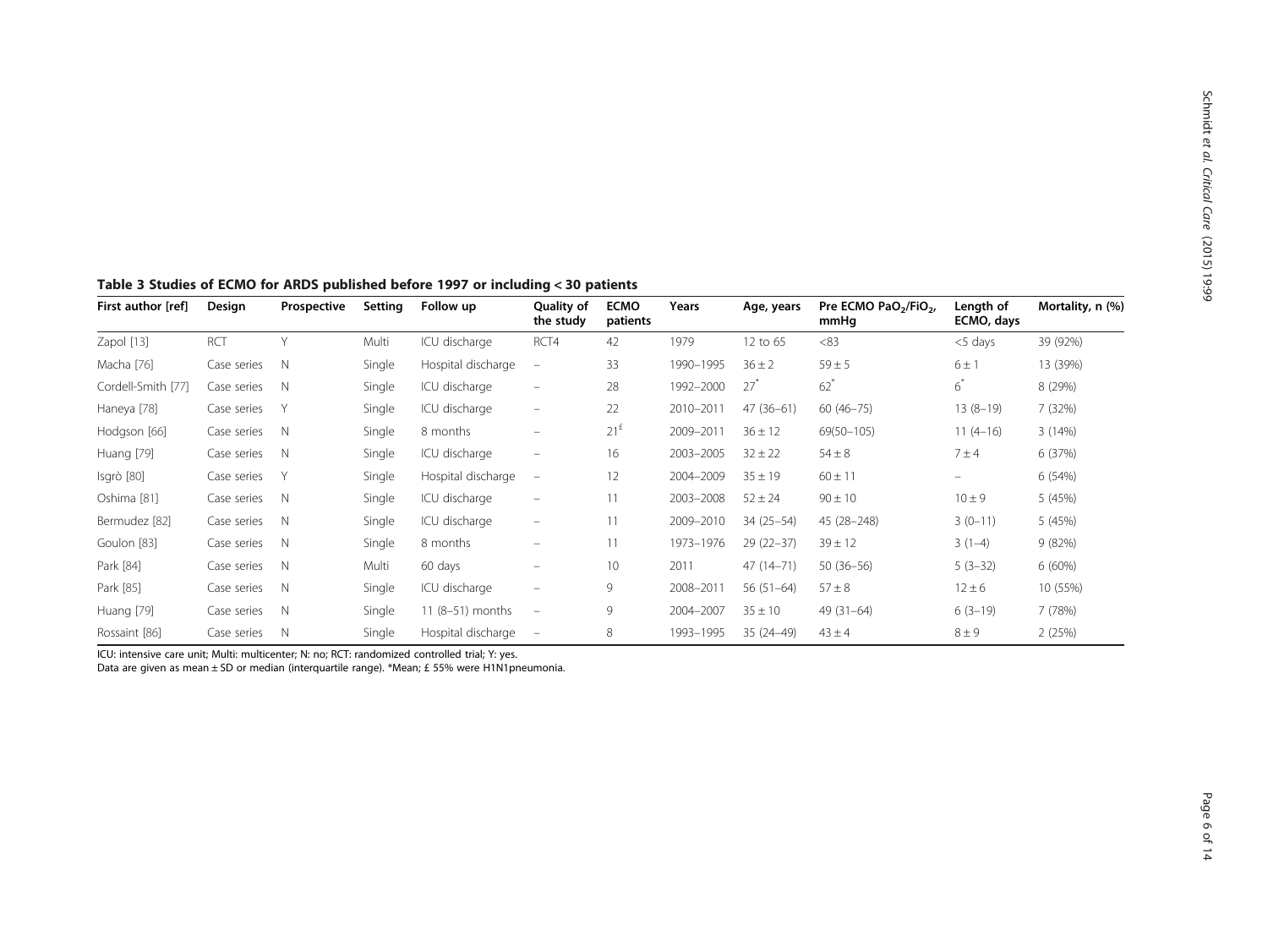|                    | ------ --- -- |                |         |                    | .                        |                         |           |               |                                                       |                         |                  |
|--------------------|---------------|----------------|---------|--------------------|--------------------------|-------------------------|-----------|---------------|-------------------------------------------------------|-------------------------|------------------|
| First author [ref] | Design        | Prospective    | Setting | Follow up          | Quality of<br>the study  | <b>ECMO</b><br>patients | Years     | Age, years    | Pre ECMO PaO <sub>2</sub> /FiO <sub>2</sub> ,<br>mmHq | Length of<br>ECMO, days | Mortality, n (%) |
| Zapol [13]         | <b>RCT</b>    | $\vee$         | Multi   | ICU discharge      | RCT4                     | 42                      | 1979      | 12 to 65      | <83                                                   | $<$ 5 days              | 39 (92%)         |
| Macha [76]         | Case series   | N              | Single  | Hospital discharge | $\overline{\phantom{0}}$ | 33                      | 1990-1995 | $36 \pm 2$    | $59 \pm 5$                                            | $6 \pm 1$               | 13 (39%)         |
| Cordell-Smith [77] | Case series   | N              | Single  | ICU discharge      | $\overline{\phantom{m}}$ | 28                      | 1992-2000 | $27^*$        | $62^*$                                                | $6^*$                   | 8 (29%)          |
| Haneya [78]        | Case series   |                | Single  | ICU discharge      | $\overline{\phantom{0}}$ | 22                      | 2010-2011 | $47(36-61)$   | $60(46 - 75)$                                         | $13(8-19)$              | 7 (32%)          |
| Hodgson [66]       | Case series   | $\mathbb N$    | Single  | 8 months           | -                        | $21^{\text{f}}$         | 2009-2011 | $36 \pm 12$   | $69(50 - 105)$                                        | $11(4-16)$              | 3(14%)           |
| Huang [79]         | Case series   | $\mathbb N$    | Single  | ICU discharge      | -                        | 16                      | 2003-2005 | $32 \pm 22$   | $54 \pm 8$                                            | $7 \pm 4$               | 6(37%)           |
| Isgrò [80]         | Case series   | Y              | Single  | Hospital discharge | $\overline{\phantom{m}}$ | 12                      | 2004-2009 | $35 \pm 19$   | $60 \pm 11$                                           | $\qquad \qquad =$       | 6 (54%)          |
| Oshima [81]        | Case series   | $\mathbb N$    | Single  | ICU discharge      | -                        | 11                      | 2003-2008 | $52 \pm 24$   | $90 \pm 10$                                           | $10 \pm 9$              | 5 (45%)          |
| Bermudez [82]      | Case series   | N              | Single  | ICU discharge      | -                        | 11                      | 2009-2010 | $34(25-54)$   | 45 (28-248)                                           | $3(0-11)$               | 5 (45%)          |
| Goulon [83]        | Case series   | $\mathbb N$    | Single  | 8 months           | -                        | 11                      | 1973-1976 | $29(22-37)$   | $39 \pm 12$                                           | $3(1-4)$                | 9(82%)           |
| Park [84]          | Case series   | $\overline{N}$ | Multi   | 60 days            | -                        | 10                      | 2011      | $47(14 - 71)$ | $50(36-56)$                                           | $5(3-32)$               | $6(60\%)$        |
| Park [85]          | Case series   | $\mathbb N$    | Single  | ICU discharge      | -                        | 9                       | 2008-2011 | $56(51-64)$   | $57 \pm 8$                                            | $12 \pm 6$              | 10 (55%)         |
| Huang [79]         | Case series   | $\mathbb N$    | Single  | 11 (8-51) months   | $\overline{\phantom{m}}$ | 9                       | 2004-2007 | $35 \pm 10$   | $49(31-64)$                                           | $6(3-19)$               | 7 (78%)          |
| Rossaint [86]      | Case series   | N              | Single  | Hospital discharge | $\overline{\phantom{m}}$ | 8                       | 1993-1995 | $35(24-49)$   | $43 \pm 4$                                            | $8 \pm 9$               | 2(25%)           |

#### <span id="page-5-0"></span>Table 3 Studies of ECMO for ARDS published before 1997 or including < 30 patients

ICU: intensive care unit; Multi: multicenter; N: no; RCT: randomized controlled trial; Y: yes.

Data are given as mean ± SD or median (interquartile range). \*Mean; £ 55% were H1N1pneumonia.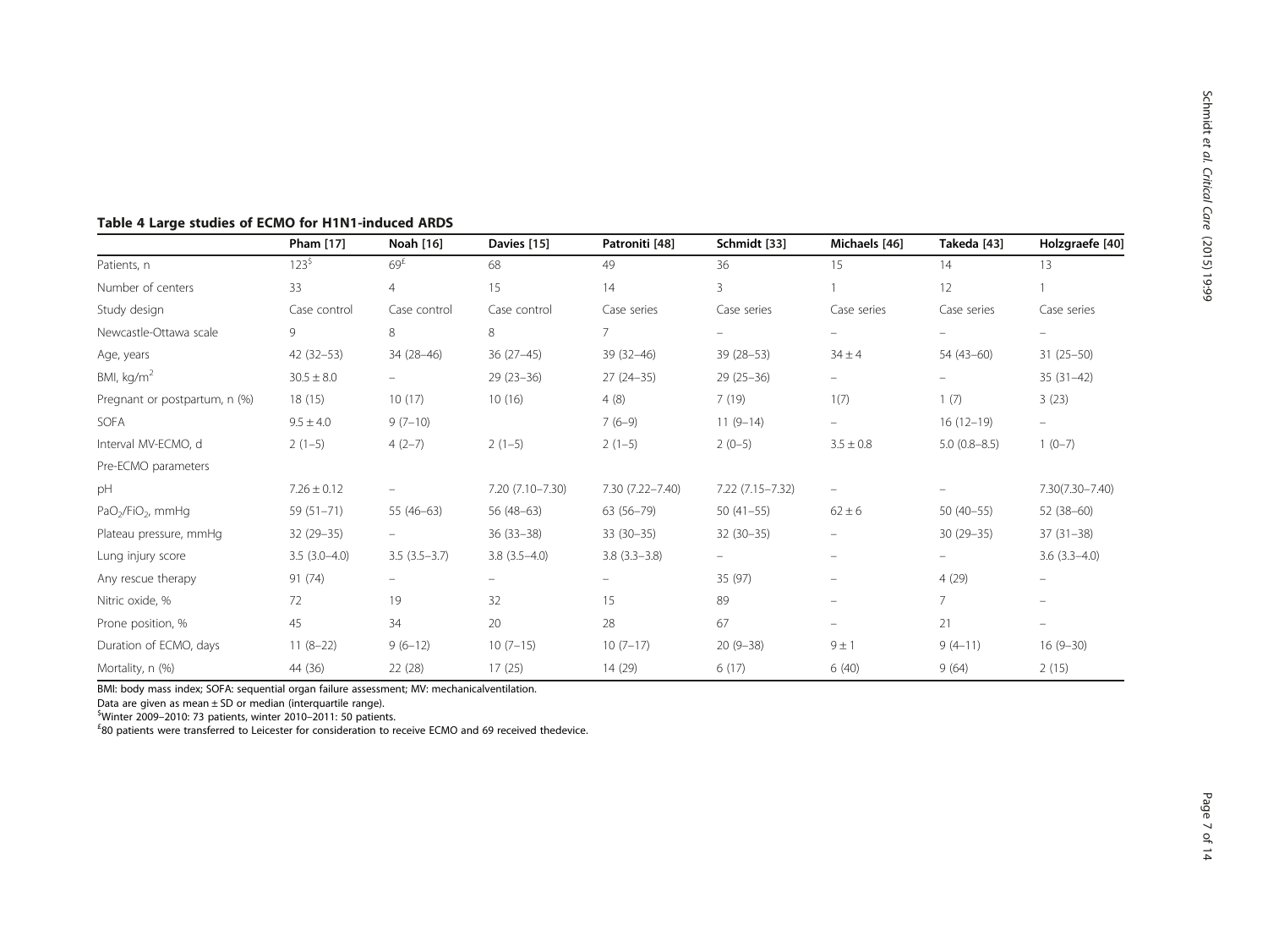|                                           | Pham [17]       | Noah [16]                | Davies [15]              | Patroniti [48]   | Schmidt [33]             | Michaels [46]            | Takeda [43]    | Holzgraefe [40]          |
|-------------------------------------------|-----------------|--------------------------|--------------------------|------------------|--------------------------|--------------------------|----------------|--------------------------|
| Patients, n                               | $123^{5}$       | 69 <sup>f</sup>          | 68                       | 49               | 36                       | 15                       | 14             | 13                       |
| Number of centers                         | 33              | $\overline{4}$           | 15                       | 14               | 3                        |                          | 12             |                          |
| Study design                              | Case control    | Case control             | Case control             | Case series      | Case series              | Case series              | Case series    | Case series              |
| Newcastle-Ottawa scale                    | 9               | 8                        | 8                        | $\overline{7}$   | $\overline{\phantom{m}}$ | $\equiv$                 |                | $\overline{\phantom{0}}$ |
| Age, years                                | $42(32-53)$     | 34 (28-46)               | $36(27-45)$              | $39(32 - 46)$    | $39(28 - 53)$            | $34 \pm 4$               | $54(43-60)$    | $31(25-50)$              |
| BMI, $kg/m2$                              | $30.5 \pm 8.0$  |                          | $29(23-36)$              | $27(24-35)$      | $29(25-36)$              | $\equiv$                 |                | $35(31-42)$              |
| Pregnant or postpartum, n (%)             | 18(15)          | 10(17)                   | 10(16)                   | 4(8)             | 7(19)                    | 1(7)                     | 1(7)           | 3(23)                    |
| SOFA                                      | $9.5 \pm 4.0$   | $9(7-10)$                |                          | $7(6-9)$         | $11(9-14)$               |                          | $16(12-19)$    | $\equiv$                 |
| Interval MV-ECMO, d                       | $2(1-5)$        | $4(2-7)$                 | $2(1-5)$                 | $2(1-5)$         | $2(0-5)$                 | $3.5 \pm 0.8$            | $5.0(0.8-8.5)$ | $1(0-7)$                 |
| Pre-ECMO parameters                       |                 |                          |                          |                  |                          |                          |                |                          |
| pH                                        | $7.26 \pm 0.12$ |                          | 7.20 (7.10-7.30)         | 7.30 (7.22-7.40) | 7.22 (7.15-7.32)         | $\overline{\phantom{m}}$ |                | 7.30(7.30-7.40)          |
| PaO <sub>2</sub> /FiO <sub>2</sub> , mmHq | $59(51 - 71)$   | $55(46-63)$              | $56(48-63)$              | $63(56 - 79)$    | $50(41-55)$              | $62 \pm 6$               | $50(40-55)$    | $52(38-60)$              |
| Plateau pressure, mmHq                    | $32(29-35)$     |                          | $36(33-38)$              | $33(30-35)$      | $32(30-35)$              |                          | $30(29-35)$    | $37(31-38)$              |
| Lung injury score                         | $3.5(3.0-4.0)$  | $3.5(3.5-3.7)$           | $3.8(3.5-4.0)$           | $3.8(3.3 - 3.8)$ | $\overline{\phantom{m}}$ | -                        |                | $3.6(3.3-4.0)$           |
| Any rescue therapy                        | 91(74)          | $\overline{\phantom{m}}$ | $\overline{\phantom{0}}$ | $\equiv$         | 35 (97)                  |                          | 4(29)          | $\overline{\phantom{0}}$ |
| Nitric oxide, %                           | 72              | 19                       | 32                       | 15               | 89                       |                          | $\overline{7}$ | Ξ.                       |
| Prone position, %                         | 45              | 34                       | 20                       | 28               | 67                       |                          | 21             | Ξ.                       |
| Duration of ECMO, days                    | $11(8-22)$      | $9(6-12)$                | $10(7-15)$               | $10(7-17)$       | $20(9-38)$               | 9 ± 1                    | $9(4-11)$      | $16(9-30)$               |
| Mortality, n (%)                          | 44 (36)         | 22 (28)                  | 17(25)                   | 14 (29)          | 6(17)                    | 6(40)                    | 9(64)          | 2(15)                    |

# <span id="page-6-0"></span>Table 4 Large studies of ECMO for H1N1-induced ARDS

BMI: body mass index; SOFA: sequential organ failure assessment; MV: mechanicalventilation.

Data are given as mean ± SD or median (interquartile range).

<sup>\$</sup>Winter 2009–2010: 73 patients, winter 2010–2011: 50 patients.<br><sup>£80</sup> patients were transferred to Leicester for consideration to r

 ${}^{4}$ 80 patients were transferred to Leicester for consideration to receive ECMO and 69 received thedevice.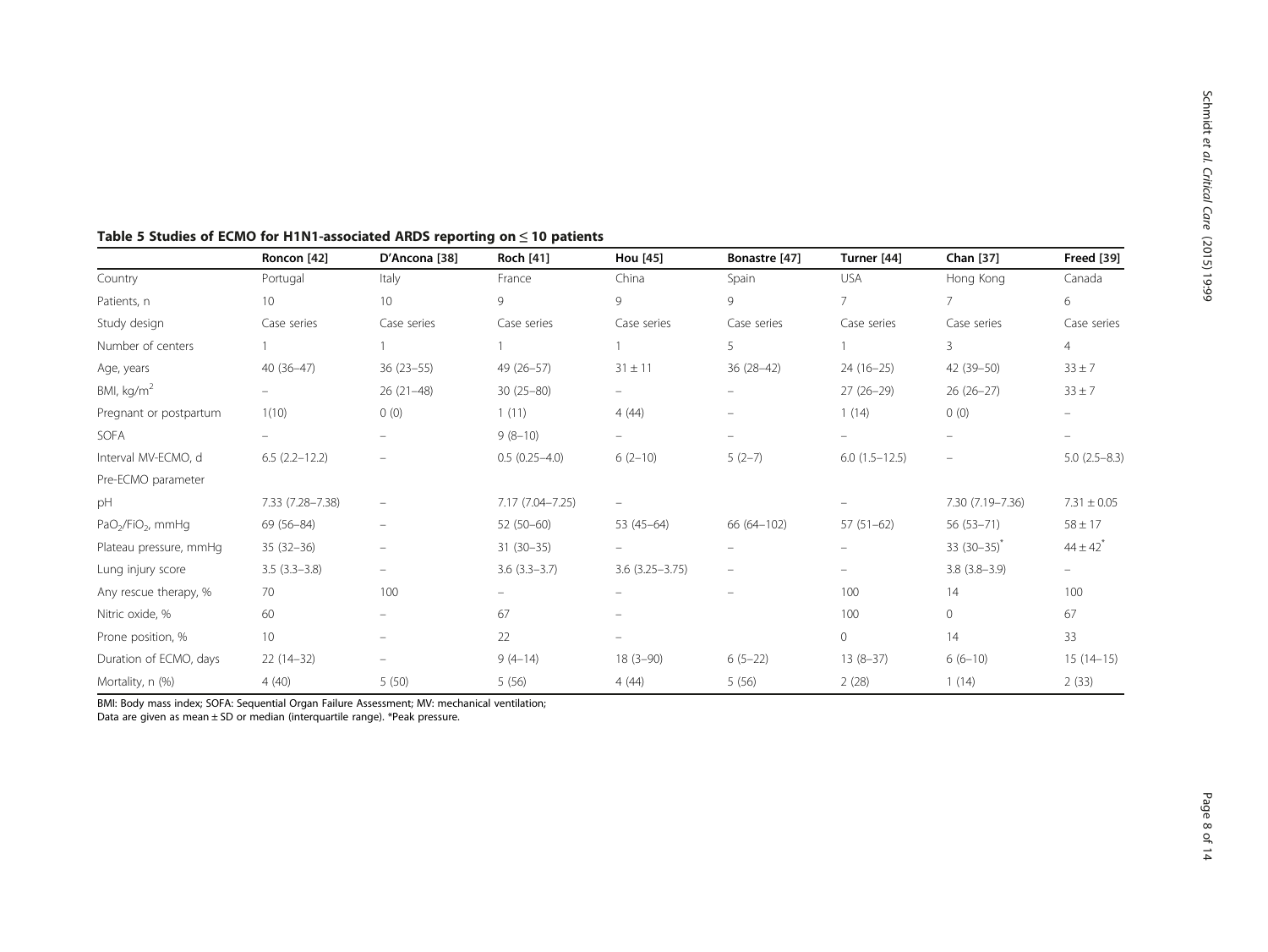|                        | Roncon [42]              | D'Ancona [38]            | <b>Roch [41]</b> | Hou [45]                 | Bonastre [47]            | Turner [44]     | Chan [37]                | <b>Freed [39]</b>        |
|------------------------|--------------------------|--------------------------|------------------|--------------------------|--------------------------|-----------------|--------------------------|--------------------------|
| Country                | Portugal                 | Italy                    | France           | China                    | Spain                    | <b>USA</b>      | Hong Kong                | Canada                   |
| Patients, n            | 10                       | 10 <sup>°</sup>          | 9                | 9                        | 9                        | 7               | 7                        | 6                        |
| Study design           | Case series              | Case series              | Case series      | Case series              | Case series              | Case series     | Case series              | Case series              |
| Number of centers      |                          |                          |                  |                          | 5                        |                 | 3                        | $\overline{4}$           |
| Age, years             | $40(36-47)$              | 36 (23-55)               | 49 (26-57)       | $31 \pm 11$              | $36(28-42)$              | $24(16-25)$     | 42 (39-50)               | $33 \pm 7$               |
| BMI, $kg/m2$           | $\equiv$                 | $26(21-48)$              | $30(25 - 80)$    | $\overline{\phantom{a}}$ | $\overline{\phantom{m}}$ | $27(26-29)$     | $26(26-27)$              | $33 \pm 7$               |
| Pregnant or postpartum | 1(10)                    | 0(0)                     | 1(11)            | 4(44)                    | $\overline{\phantom{m}}$ | 1(14)           | 0(0)                     |                          |
| SOFA                   | $\overline{\phantom{0}}$ |                          | $9(8-10)$        |                          | $\overline{\phantom{0}}$ |                 |                          |                          |
| Interval MV-ECMO, d    | $6.5(2.2 - 12.2)$        |                          | $0.5(0.25-4.0)$  | $6(2-10)$                | $5(2-7)$                 | $6.0(1.5-12.5)$ | $\overline{\phantom{m}}$ | $5.0(2.5 - 8.3)$         |
| Pre-ECMO parameter     |                          |                          |                  |                          |                          |                 |                          |                          |
| pH                     | 7.33 (7.28-7.38)         | $\overline{\phantom{m}}$ | 7.17 (7.04-7.25) | $\overline{\phantom{0}}$ |                          |                 | 7.30 (7.19-7.36)         | $7.31 \pm 0.05$          |
| $PaO2/FiO2$ , mmHg     | 69 (56-84)               | $\overline{\phantom{0}}$ | 52 (50-60)       | $53(45-64)$              | 66 (64-102)              | $57(51-62)$     | $56(53 - 71)$            | $58 \pm 17$              |
| Plateau pressure, mmHq | $35(32-36)$              |                          | $31(30-35)$      |                          |                          |                 | $33(30-35)^{x}$          | $44 \pm 42$ <sup>*</sup> |
| Lung injury score      | $3.5(3.3-3.8)$           | $\overline{\phantom{m}}$ | $3.6(3.3-3.7)$   | $3.6(3.25 - 3.75)$       | $\overline{\phantom{m}}$ |                 | $3.8(3.8-3.9)$           | $\overline{\phantom{0}}$ |
| Any rescue therapy, %  | 70                       | 100                      | $\equiv$         |                          | $\overline{\phantom{m}}$ | 100             | 14                       | 100                      |
| Nitric oxide, %        | 60                       | $\overline{\phantom{a}}$ | 67               | $\overline{\phantom{m}}$ |                          | 100             | 0                        | 67                       |
| Prone position, %      | 10                       |                          | 22               |                          |                          | $\circ$         | 14                       | 33                       |
| Duration of ECMO, days | $22(14-32)$              |                          | $9(4-14)$        | $18(3-90)$               | $6(5-22)$                | $13(8-37)$      | $6(6-10)$                | $15(14-15)$              |
| Mortality, n (%)       | 4(40)                    | 5(50)                    | 5(56)            | 4(44)                    | 5(56)                    | 2(28)           | 1(14)                    | 2(33)                    |

<span id="page-7-0"></span>

| Table 5 Studies of ECMO for H1N1-associated ARDS reporting on $\leq$ 10 patients |  |
|----------------------------------------------------------------------------------|--|
|----------------------------------------------------------------------------------|--|

BMI: Body mass index; SOFA: Sequential Organ Failure Assessment; MV: mechanical ventilation;

Data are given as mean ± SD or median (interquartile range). \*Peak pressure.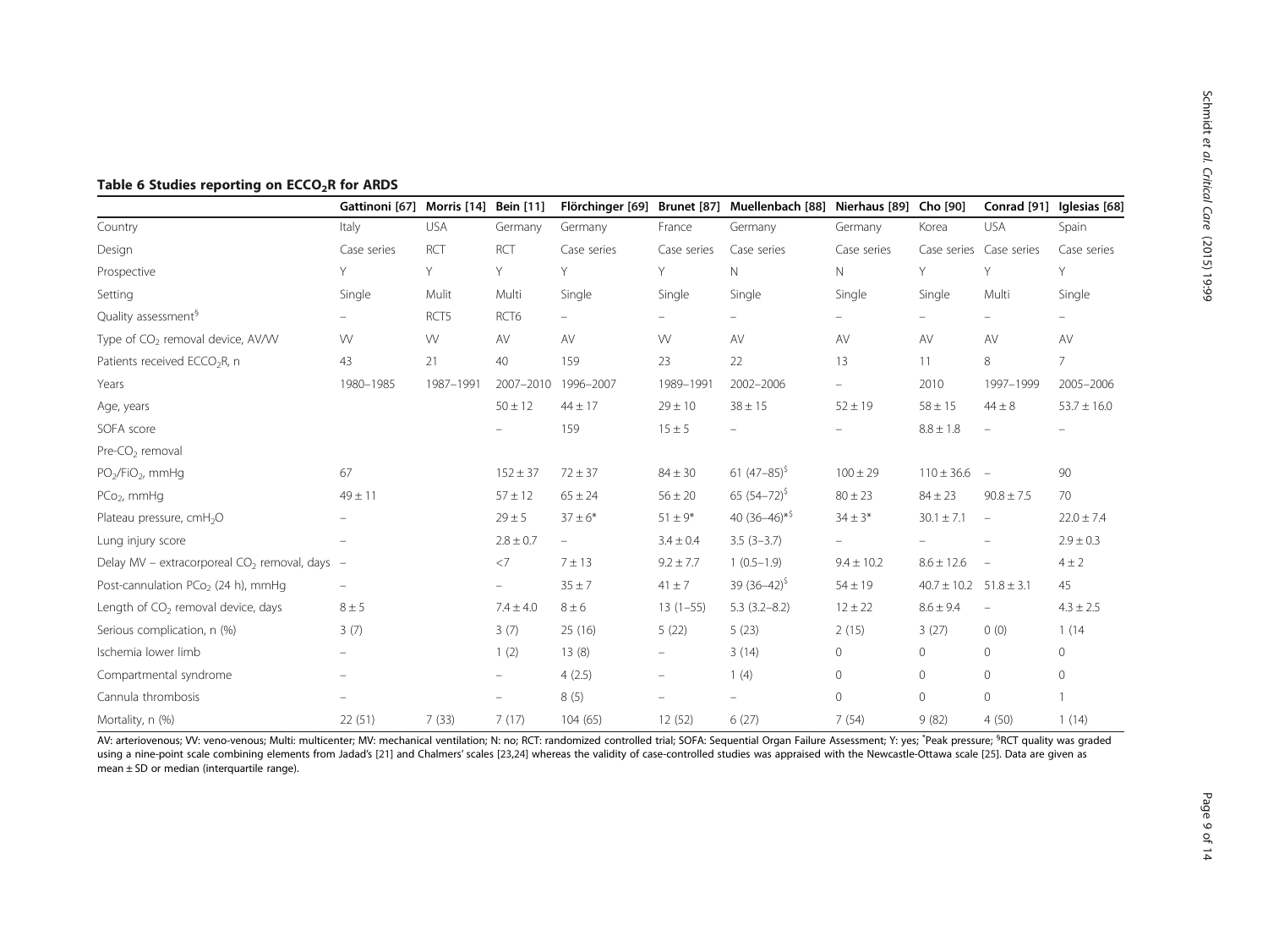|                                                 | Gattinoni [67]    | Morris [14] | <b>Bein</b> [11]         | Flörchinger [69]         |                          | Brunet [87] Muellenbach [88] Nierhaus [89] Cho [90] |                          |                  | Conrad [91]              | Iglesias [68]            |
|-------------------------------------------------|-------------------|-------------|--------------------------|--------------------------|--------------------------|-----------------------------------------------------|--------------------------|------------------|--------------------------|--------------------------|
| Country                                         | Italy             | <b>USA</b>  | Germany                  | Germany                  | France                   | Germany                                             | Germany                  | Korea            | <b>USA</b>               | Spain                    |
| Design                                          | Case series       | <b>RCT</b>  | RCT                      | Case series              | Case series              | Case series                                         | Case series              |                  | Case series Case series  | Case series              |
| Prospective                                     | Y                 | Y           | Υ                        | Υ                        | Y                        | N                                                   | N                        | Y                | Υ                        | Y                        |
| Setting                                         | Single            | Mulit       | Multi                    | Single                   | Single                   | Single                                              | Single                   | Single           | Multi                    | Single                   |
| Quality assessment <sup>9</sup>                 |                   | RCT5        | RCT <sub>6</sub>         | $\overline{\phantom{0}}$ |                          | $\overline{\phantom{a}}$                            |                          |                  | $\overline{\phantom{0}}$ | $\overline{\phantom{a}}$ |
| Type of CO <sub>2</sub> removal device, AV/VV   | W                 | W           | AV                       | AV                       | W                        | AV                                                  | AV                       | AV               | AV                       | AV                       |
| Patients received ECCO <sub>2</sub> R, n        | 43                | 21          | 40                       | 159                      | 23                       | 22                                                  | 13                       | 11               | 8                        | $\overline{7}$           |
| Years                                           | 1980-1985         | 1987-1991   | 2007-2010                | 1996-2007                | 1989-1991                | 2002-2006                                           | $\equiv$                 | 2010             | 1997-1999                | 2005-2006                |
| Age, years                                      |                   |             | $50 \pm 12$              | $44 \pm 17$              | $29 \pm 10$              | $38 \pm 15$                                         | $52 \pm 19$              | $58 \pm 15$      | $44 \pm 8$               | $53.7 \pm 16.0$          |
| SOFA score                                      |                   |             | $\overline{\phantom{0}}$ | 159                      | $15 \pm 5$               | $\overline{\phantom{a}}$                            |                          | $8.8 \pm 1.8$    | $\qquad \qquad -$        | $\overline{\phantom{m}}$ |
| Pre-CO <sub>2</sub> removal                     |                   |             |                          |                          |                          |                                                     |                          |                  |                          |                          |
| $PO2/FiO2$ , mmHq                               | 67                |             | $152 \pm 37$             | $72 \pm 37$              | $84 \pm 30$              | 61 $(47-85)^{5}$                                    | $100 \pm 29$             | $110 \pm 36.6$ - |                          | 90                       |
| $PCo2$ , mmHq                                   | $49 \pm 11$       |             | $57 \pm 12$              | $65 \pm 24$              | $56 \pm 20$              | 65 $(54-72)^{5}$                                    | $80 \pm 23$              | $84 \pm 23$      | $90.8 \pm 7.5$           | 70                       |
| Plateau pressure, cmH <sub>2</sub> O            |                   |             | $29 \pm 5$               | $37 \pm 6*$              | $51 \pm 9*$              | 40 $(36-46)*$                                       | $34 \pm 3*$              | $30.1 \pm 7.1$   | $\overline{\phantom{m}}$ | $22.0 \pm 7.4$           |
| Lung injury score                               | $\qquad \qquad -$ |             | $2.8 \pm 0.7$            | $\overline{\phantom{m}}$ | $3.4 \pm 0.4$            | $3.5(3-3.7)$                                        | $\overline{\phantom{a}}$ |                  |                          | $2.9 \pm 0.3$            |
| Delay MV - extracorporeal $CO2$ removal, days - |                   |             | $<$ 7                    | 7 ± 13                   | $9.2 \pm 7.7$            | $1(0.5-1.9)$                                        | $9.4 \pm 10.2$           | $8.6 \pm 12.6$   | $\overline{\phantom{a}}$ | $4 \pm 2$                |
| Post-cannulation PCo <sub>2</sub> (24 h), mmHq  | $\qquad \qquad -$ |             | ÷                        | $35 \pm 7$               | $41 \pm 7$               | 39 $(36-42)^{5}$                                    | $54 \pm 19$              | $40.7 \pm 10.2$  | $51.8 \pm 3.1$           | 45                       |
| Length of CO <sub>2</sub> removal device, days  | $8 \pm 5$         |             | $7.4 \pm 4.0$            | $8 \pm 6$                | $13(1-55)$               | $5.3(3.2 - 8.2)$                                    | $12 \pm 22$              | $8.6 \pm 9.4$    | $\qquad \qquad -$        | $4.3 \pm 2.5$            |
| Serious complication, n (%)                     | 3(7)              |             | 3(7)                     | 25(16)                   | 5(22)                    | 5(23)                                               | 2(15)                    | 3(27)            | 0(0)                     | 1(14)                    |
| Ischemia lower limb                             |                   |             | 1(2)                     | 13(8)                    | $\overline{\phantom{a}}$ | 3(14)                                               | 0                        | 0                | $\Omega$                 | 0                        |
| Compartmental syndrome                          |                   |             | $\overline{\phantom{0}}$ | 4(2.5)                   | $\qquad \qquad -$        | 1(4)                                                | 0                        | $\circ$          | $\Omega$                 | 0                        |
| Cannula thrombosis                              |                   |             | $\overline{\phantom{0}}$ | 8(5)                     | $\qquad \qquad -$        | $\overline{\phantom{a}}$                            | 0                        | $\circ$          | $\circ$                  |                          |
| Mortality, n (%)                                | 22(51)            | 7(33)       | 7(17)                    | 104(65)                  | 12(52)                   | 6(27)                                               | 7(54)                    | 9(82)            | 4(50)                    | 1(14)                    |

# <span id="page-8-0"></span>Table 6 Studies reporting on ECCO<sub>2</sub>R for ARDS

AV: arteriovenous; VV: veno-venous; Multi: multicenter; MV: mechanical ventilation; N: no; RCT: randomized controlled trial; SOFA: Sequential Organ Failure Assessment; Y: yes; \*Peak pressure; <sup>s</sup>RCT quality was graded using a nine-point scale combining elements from Jadad's [\[21](#page-12-0)] and Chalmers' scales [\[23](#page-12-0),[24\]](#page-12-0) whereas the validity of case-controlled studies was appraised with the Newcastle-Ottawa scale [\[25\]](#page-12-0). Data are given as  $mean \pm SD$  or median (interquartile range).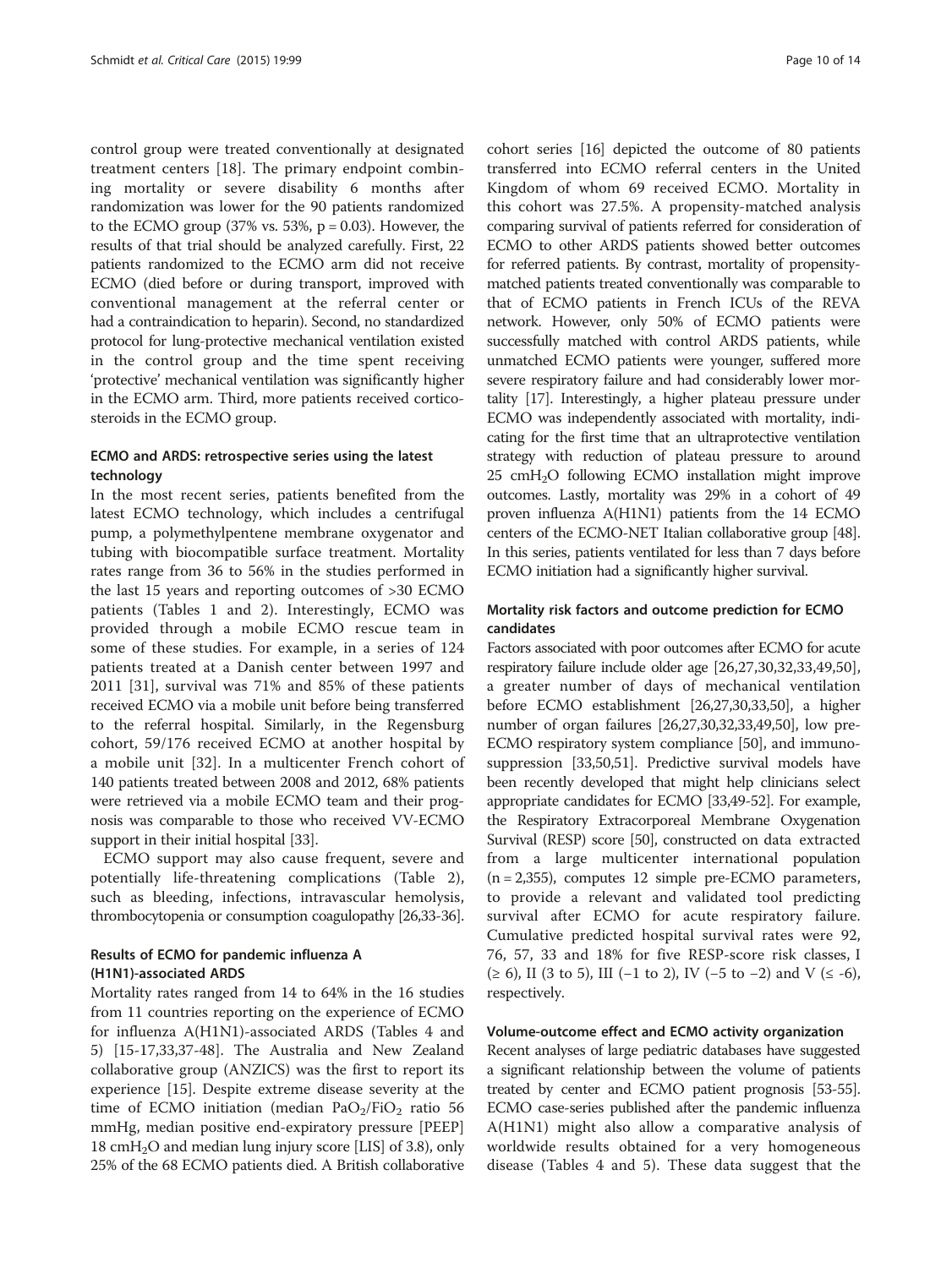control group were treated conventionally at designated treatment centers [\[18](#page-12-0)]. The primary endpoint combining mortality or severe disability 6 months after randomization was lower for the 90 patients randomized to the ECMO group  $(37\% \text{ vs. } 53\%, \text{ p} = 0.03)$ . However, the results of that trial should be analyzed carefully. First, 22 patients randomized to the ECMO arm did not receive ECMO (died before or during transport, improved with conventional management at the referral center or had a contraindication to heparin). Second, no standardized protocol for lung-protective mechanical ventilation existed in the control group and the time spent receiving 'protective' mechanical ventilation was significantly higher in the ECMO arm. Third, more patients received corticosteroids in the ECMO group.

# ECMO and ARDS: retrospective series using the latest technology

In the most recent series, patients benefited from the latest ECMO technology, which includes a centrifugal pump, a polymethylpentene membrane oxygenator and tubing with biocompatible surface treatment. Mortality rates range from 36 to 56% in the studies performed in the last 15 years and reporting outcomes of >30 ECMO patients (Tables [1](#page-3-0) and [2](#page-4-0)). Interestingly, ECMO was provided through a mobile ECMO rescue team in some of these studies. For example, in a series of 124 patients treated at a Danish center between 1997 and 2011 [[31\]](#page-12-0), survival was 71% and 85% of these patients received ECMO via a mobile unit before being transferred to the referral hospital. Similarly, in the Regensburg cohort, 59/176 received ECMO at another hospital by a mobile unit [[32\]](#page-12-0). In a multicenter French cohort of 140 patients treated between 2008 and 2012, 68% patients were retrieved via a mobile ECMO team and their prognosis was comparable to those who received VV-ECMO support in their initial hospital [\[33\]](#page-12-0).

ECMO support may also cause frequent, severe and potentially life-threatening complications (Table [2](#page-4-0)), such as bleeding, infections, intravascular hemolysis, thrombocytopenia or consumption coagulopathy [\[26,33-36](#page-12-0)].

# Results of ECMO for pandemic influenza A (H1N1)-associated ARDS

Mortality rates ranged from 14 to 64% in the 16 studies from 11 countries reporting on the experience of ECMO for influenza A(H1N1)-associated ARDS (Tables [4](#page-6-0) and [5\)](#page-7-0) [\[15-17](#page-12-0),[33](#page-12-0),[37](#page-12-0)-[48\]](#page-12-0). The Australia and New Zealand collaborative group (ANZICS) was the first to report its experience [[15](#page-12-0)]. Despite extreme disease severity at the time of ECMO initiation (median  $PaO<sub>2</sub>/FiO<sub>2</sub>$  ratio 56 mmHg, median positive end-expiratory pressure [PEEP] 18  $cmH<sub>2</sub>O$  and median lung injury score [LIS] of 3.8), only 25% of the 68 ECMO patients died. A British collaborative

cohort series [\[16\]](#page-12-0) depicted the outcome of 80 patients transferred into ECMO referral centers in the United Kingdom of whom 69 received ECMO. Mortality in this cohort was 27.5%. A propensity-matched analysis comparing survival of patients referred for consideration of ECMO to other ARDS patients showed better outcomes for referred patients. By contrast, mortality of propensitymatched patients treated conventionally was comparable to that of ECMO patients in French ICUs of the REVA network. However, only 50% of ECMO patients were successfully matched with control ARDS patients, while unmatched ECMO patients were younger, suffered more severe respiratory failure and had considerably lower mortality [[17](#page-12-0)]. Interestingly, a higher plateau pressure under ECMO was independently associated with mortality, indicating for the first time that an ultraprotective ventilation strategy with reduction of plateau pressure to around  $25$  cmH<sub>2</sub>O following ECMO installation might improve outcomes. Lastly, mortality was 29% in a cohort of 49 proven influenza A(H1N1) patients from the 14 ECMO centers of the ECMO-NET Italian collaborative group [\[48](#page-12-0)]. In this series, patients ventilated for less than 7 days before ECMO initiation had a significantly higher survival.

### Mortality risk factors and outcome prediction for ECMO candidates

Factors associated with poor outcomes after ECMO for acute respiratory failure include older age [[26,27,30,32](#page-12-0),[33,49,50](#page-12-0)], a greater number of days of mechanical ventilation before ECMO establishment [[26,27,30,33,50](#page-12-0)], a higher number of organ failures [[26](#page-12-0),[27,30,32,33,49,50\]](#page-12-0), low pre-ECMO respiratory system compliance [\[50\]](#page-12-0), and immunosuppression [[33](#page-12-0),[50](#page-12-0)[,51\]](#page-13-0). Predictive survival models have been recently developed that might help clinicians select appropriate candidates for ECMO [[33,49](#page-12-0)[-52](#page-13-0)]. For example, the Respiratory Extracorporeal Membrane Oxygenation Survival (RESP) score [\[50\]](#page-12-0), constructed on data extracted from a large multicenter international population (n = 2,355), computes 12 simple pre-ECMO parameters, to provide a relevant and validated tool predicting survival after ECMO for acute respiratory failure. Cumulative predicted hospital survival rates were 92, 76, 57, 33 and 18% for five RESP-score risk classes, I (≥ 6), II (3 to 5), III (−1 to 2), IV (−5 to −2) and V (≤ -6), respectively.

#### Volume-outcome effect and ECMO activity organization

Recent analyses of large pediatric databases have suggested a significant relationship between the volume of patients treated by center and ECMO patient prognosis [\[53-55](#page-13-0)]. ECMO case-series published after the pandemic influenza A(H1N1) might also allow a comparative analysis of worldwide results obtained for a very homogeneous disease (Tables [4](#page-6-0) and [5\)](#page-7-0). These data suggest that the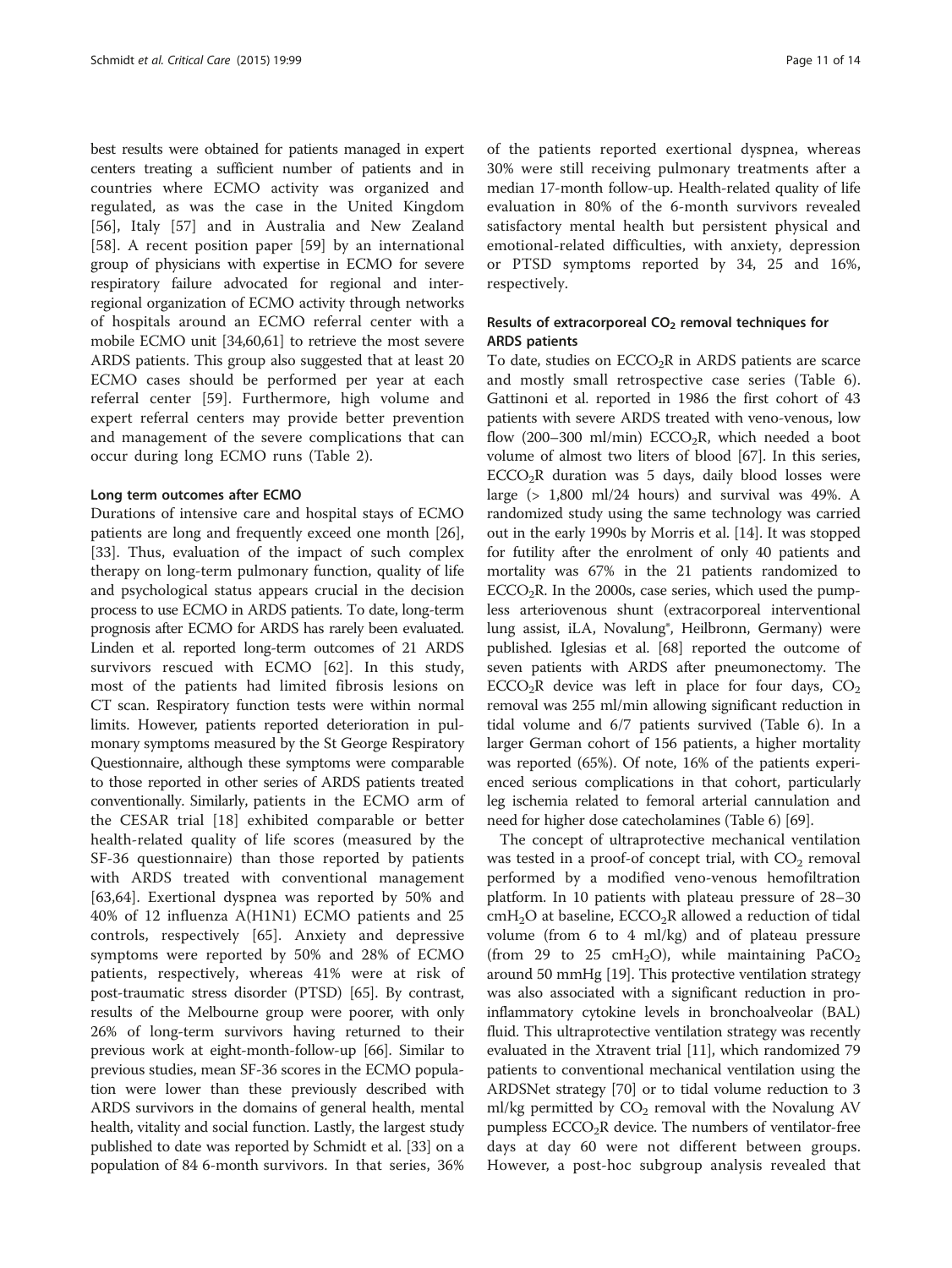best results were obtained for patients managed in expert centers treating a sufficient number of patients and in countries where ECMO activity was organized and regulated, as was the case in the United Kingdom [[56\]](#page-13-0), Italy [[57\]](#page-13-0) and in Australia and New Zealand [[58\]](#page-13-0). A recent position paper [[59\]](#page-13-0) by an international group of physicians with expertise in ECMO for severe respiratory failure advocated for regional and interregional organization of ECMO activity through networks of hospitals around an ECMO referral center with a mobile ECMO unit [[34,](#page-12-0)[60,61\]](#page-13-0) to retrieve the most severe ARDS patients. This group also suggested that at least 20 ECMO cases should be performed per year at each referral center [\[59](#page-13-0)]. Furthermore, high volume and expert referral centers may provide better prevention and management of the severe complications that can occur during long ECMO runs (Table [2\)](#page-4-0).

#### Long term outcomes after ECMO

Durations of intensive care and hospital stays of ECMO patients are long and frequently exceed one month [\[26](#page-12-0)], [[33\]](#page-12-0). Thus, evaluation of the impact of such complex therapy on long-term pulmonary function, quality of life and psychological status appears crucial in the decision process to use ECMO in ARDS patients. To date, long-term prognosis after ECMO for ARDS has rarely been evaluated. Linden et al. reported long-term outcomes of 21 ARDS survivors rescued with ECMO [\[62](#page-13-0)]. In this study, most of the patients had limited fibrosis lesions on CT scan. Respiratory function tests were within normal limits. However, patients reported deterioration in pulmonary symptoms measured by the St George Respiratory Questionnaire, although these symptoms were comparable to those reported in other series of ARDS patients treated conventionally. Similarly, patients in the ECMO arm of the CESAR trial [\[18](#page-12-0)] exhibited comparable or better health-related quality of life scores (measured by the SF-36 questionnaire) than those reported by patients with ARDS treated with conventional management [[63,64](#page-13-0)]. Exertional dyspnea was reported by 50% and 40% of 12 influenza A(H1N1) ECMO patients and 25 controls, respectively [[65\]](#page-13-0). Anxiety and depressive symptoms were reported by 50% and 28% of ECMO patients, respectively, whereas 41% were at risk of post-traumatic stress disorder (PTSD) [[65](#page-13-0)]. By contrast, results of the Melbourne group were poorer, with only 26% of long-term survivors having returned to their previous work at eight-month-follow-up [\[66](#page-13-0)]. Similar to previous studies, mean SF-36 scores in the ECMO population were lower than these previously described with ARDS survivors in the domains of general health, mental health, vitality and social function. Lastly, the largest study published to date was reported by Schmidt et al. [\[33\]](#page-12-0) on a population of 84 6-month survivors. In that series, 36% of the patients reported exertional dyspnea, whereas 30% were still receiving pulmonary treatments after a median 17-month follow-up. Health-related quality of life evaluation in 80% of the 6-month survivors revealed satisfactory mental health but persistent physical and emotional-related difficulties, with anxiety, depression or PTSD symptoms reported by 34, 25 and 16%, respectively.

# Results of extracorporeal  $CO<sub>2</sub>$  removal techniques for ARDS patients

To date, studies on  $ECCO<sub>2</sub>R$  in ARDS patients are scarce and mostly small retrospective case series (Table [6](#page-8-0)). Gattinoni et al. reported in 1986 the first cohort of 43 patients with severe ARDS treated with veno-venous, low flow (200–300 ml/min)  $ECCO<sub>2</sub>R$ , which needed a boot volume of almost two liters of blood [[67](#page-13-0)]. In this series,  $ECCO<sub>2</sub>R$  duration was 5 days, daily blood losses were large (> 1,800 ml/24 hours) and survival was 49%. A randomized study using the same technology was carried out in the early 1990s by Morris et al. [\[14](#page-12-0)]. It was stopped for futility after the enrolment of only 40 patients and mortality was 67% in the 21 patients randomized to  $ECCO<sub>2</sub>R$ . In the 2000s, case series, which used the pumpless arteriovenous shunt (extracorporeal interventional lung assist, iLA, Novalung®, Heilbronn, Germany) were published. Iglesias et al. [[68\]](#page-13-0) reported the outcome of seven patients with ARDS after pneumonectomy. The ECCO<sub>2</sub>R device was left in place for four days,  $CO<sub>2</sub>$ removal was 255 ml/min allowing significant reduction in tidal volume and 6/7 patients survived (Table [6](#page-8-0)). In a larger German cohort of 156 patients, a higher mortality was reported (65%). Of note, 16% of the patients experienced serious complications in that cohort, particularly leg ischemia related to femoral arterial cannulation and need for higher dose catecholamines (Table [6\)](#page-8-0) [[69](#page-13-0)].

The concept of ultraprotective mechanical ventilation was tested in a proof-of concept trial, with  $CO<sub>2</sub>$  removal performed by a modified veno-venous hemofiltration platform. In 10 patients with plateau pressure of 28–30  $cmH<sub>2</sub>O$  at baseline,  $ECCO<sub>2</sub>R$  allowed a reduction of tidal volume (from 6 to 4 ml/kg) and of plateau pressure (from 29 to 25 cmH<sub>2</sub>O), while maintaining PaCO<sub>2</sub> around 50 mmHg [\[19\]](#page-12-0). This protective ventilation strategy was also associated with a significant reduction in proinflammatory cytokine levels in bronchoalveolar (BAL) fluid. This ultraprotective ventilation strategy was recently evaluated in the Xtravent trial [[11](#page-12-0)], which randomized 79 patients to conventional mechanical ventilation using the ARDSNet strategy [[70](#page-13-0)] or to tidal volume reduction to 3 ml/kg permitted by  $CO<sub>2</sub>$  removal with the Novalung AV pumpless  $ECCO<sub>2</sub>R$  device. The numbers of ventilator-free days at day 60 were not different between groups. However, a post-hoc subgroup analysis revealed that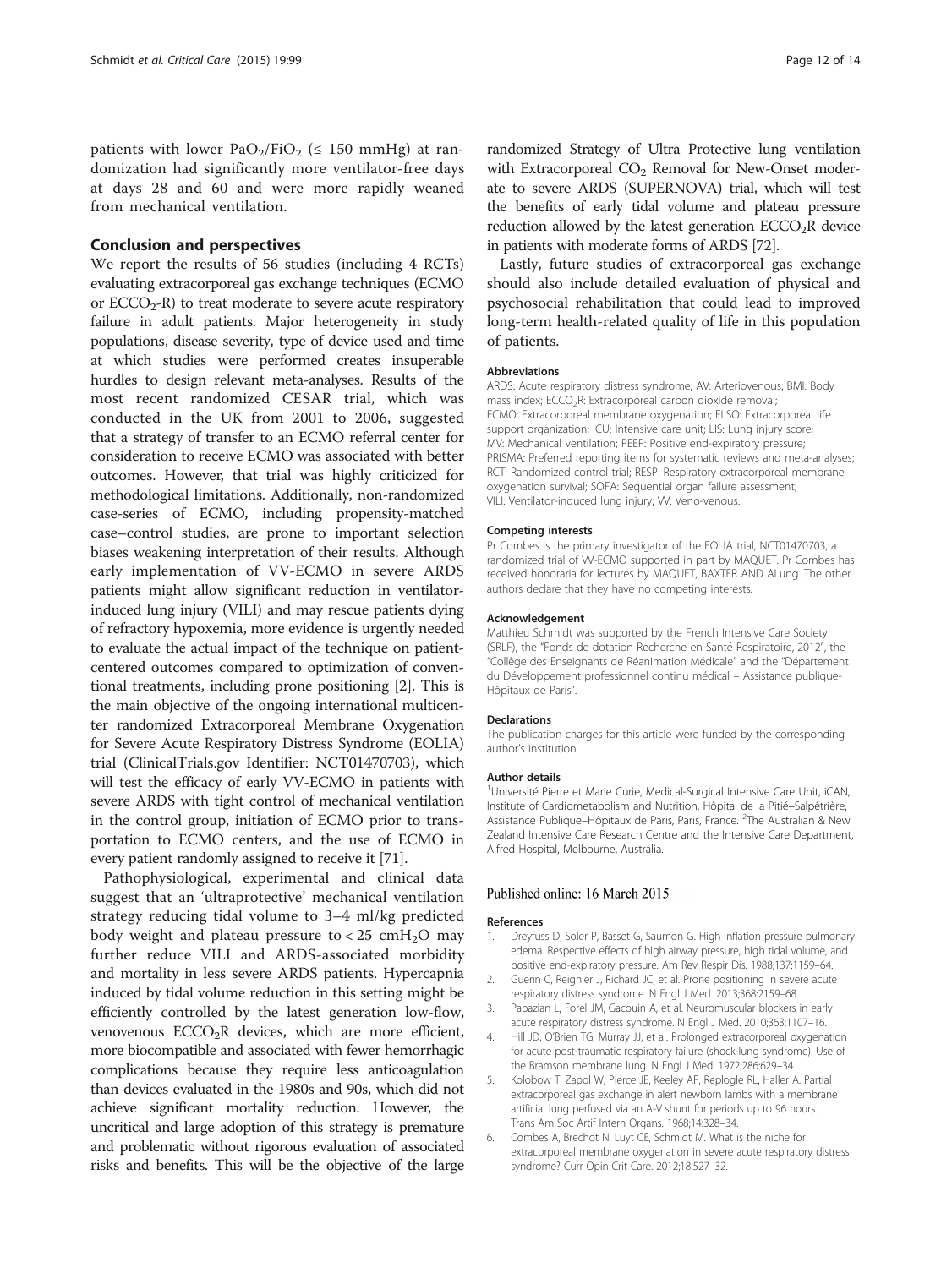<span id="page-11-0"></span>patients with lower PaO<sub>2</sub>/FiO<sub>2</sub> ( $\leq$  150 mmHg) at randomization had significantly more ventilator-free days at days 28 and 60 and were more rapidly weaned from mechanical ventilation.

#### Conclusion and perspectives

We report the results of 56 studies (including 4 RCTs) evaluating extracorporeal gas exchange techniques (ECMO or  $ECCO<sub>2</sub>$ -R) to treat moderate to severe acute respiratory failure in adult patients. Major heterogeneity in study populations, disease severity, type of device used and time at which studies were performed creates insuperable hurdles to design relevant meta-analyses. Results of the most recent randomized CESAR trial, which was conducted in the UK from 2001 to 2006, suggested that a strategy of transfer to an ECMO referral center for consideration to receive ECMO was associated with better outcomes. However, that trial was highly criticized for methodological limitations. Additionally, non-randomized case-series of ECMO, including propensity-matched case–control studies, are prone to important selection biases weakening interpretation of their results. Although early implementation of VV-ECMO in severe ARDS patients might allow significant reduction in ventilatorinduced lung injury (VILI) and may rescue patients dying of refractory hypoxemia, more evidence is urgently needed to evaluate the actual impact of the technique on patientcentered outcomes compared to optimization of conventional treatments, including prone positioning [2]. This is the main objective of the ongoing international multicenter randomized Extracorporeal Membrane Oxygenation for Severe Acute Respiratory Distress Syndrome (EOLIA) trial (ClinicalTrials.gov Identifier: NCT01470703), which will test the efficacy of early VV-ECMO in patients with severe ARDS with tight control of mechanical ventilation in the control group, initiation of ECMO prior to transportation to ECMO centers, and the use of ECMO in every patient randomly assigned to receive it [\[71\]](#page-13-0).

Pathophysiological, experimental and clinical data suggest that an 'ultraprotective' mechanical ventilation strategy reducing tidal volume to 3–4 ml/kg predicted body weight and plateau pressure to  $< 25$  cmH<sub>2</sub>O may further reduce VILI and ARDS-associated morbidity and mortality in less severe ARDS patients. Hypercapnia induced by tidal volume reduction in this setting might be efficiently controlled by the latest generation low-flow, venovenous ECCO<sub>2</sub>R devices, which are more efficient, more biocompatible and associated with fewer hemorrhagic complications because they require less anticoagulation than devices evaluated in the 1980s and 90s, which did not achieve significant mortality reduction. However, the uncritical and large adoption of this strategy is premature and problematic without rigorous evaluation of associated risks and benefits. This will be the objective of the large randomized Strategy of Ultra Protective lung ventilation with Extracorporeal  $CO<sub>2</sub>$  Removal for New-Onset moderate to severe ARDS (SUPERNOVA) trial, which will test the benefits of early tidal volume and plateau pressure reduction allowed by the latest generation  $ECCO<sub>2</sub>R$  device in patients with moderate forms of ARDS [\[72\]](#page-13-0).

Lastly, future studies of extracorporeal gas exchange should also include detailed evaluation of physical and psychosocial rehabilitation that could lead to improved long-term health-related quality of life in this population of patients.

#### Abbreviations

ARDS: Acute respiratory distress syndrome; AV: Arteriovenous; BMI: Body mass index; ECCO<sub>2</sub>R: Extracorporeal carbon dioxide removal; ECMO: Extracorporeal membrane oxygenation; ELSO: Extracorporeal life support organization; ICU: Intensive care unit; LIS: Lung injury score; MV: Mechanical ventilation; PEEP: Positive end-expiratory pressure; PRISMA: Preferred reporting items for systematic reviews and meta-analyses; RCT: Randomized control trial; RESP: Respiratory extracorporeal membrane oxygenation survival; SOFA: Sequential organ failure assessment; VILI: Ventilator-induced lung injury; VV: Veno-venous.

#### Competing interests

Pr Combes is the primary investigator of the EOLIA trial, NCT01470703, a randomized trial of VV-ECMO supported in part by MAQUET. Pr Combes has received honoraria for lectures by MAQUET, BAXTER AND ALung. The other authors declare that they have no competing interests.

#### Acknowledgement

Matthieu Schmidt was supported by the French Intensive Care Society (SRLF), the "Fonds de dotation Recherche en Santé Respiratoire, 2012", the "Collège des Enseignants de Réanimation Médicale" and the "Département du Développement professionnel continu médical – Assistance publique-Hôpitaux de Paris".

#### Declarations

The publication charges for this article were funded by the corresponding author's institution.

#### Author details

<sup>1</sup>Université Pierre et Marie Curie, Medical-Surgical Intensive Care Unit, iCAN, Institute of Cardiometabolism and Nutrition, Hôpital de la Pitié–Salpêtrière, Assistance Publique-Hôpitaux de Paris, Paris, France. <sup>2</sup>The Australian & New Zealand Intensive Care Research Centre and the Intensive Care Department, Alfred Hospital, Melbourne, Australia.

#### Published online: 16 March 2015

#### References

- Dreyfuss D, Soler P, Basset G, Saumon G. High inflation pressure pulmonary edema. Respective effects of high airway pressure, high tidal volume, and positive end-expiratory pressure. Am Rev Respir Dis. 1988;137:1159–64.
- 2. Guerin C, Reignier J, Richard JC, et al. Prone positioning in severe acute respiratory distress syndrome. N Engl J Med. 2013;368:2159–68.
- 3. Papazian L, Forel JM, Gacouin A, et al. Neuromuscular blockers in early acute respiratory distress syndrome. N Engl J Med. 2010;363:1107–16.
- 4. Hill JD, O'Brien TG, Murray JJ, et al. Prolonged extracorporeal oxygenation for acute post-traumatic respiratory failure (shock-lung syndrome). Use of the Bramson membrane lung. N Engl J Med. 1972;286:629–34.
- 5. Kolobow T, Zapol W, Pierce JE, Keeley AF, Replogle RL, Haller A. Partial extracorporeal gas exchange in alert newborn lambs with a membrane artificial lung perfused via an A-V shunt for periods up to 96 hours. Trans Am Soc Artif Intern Organs. 1968;14:328–34.
- 6. Combes A, Brechot N, Luyt CE, Schmidt M. What is the niche for extracorporeal membrane oxygenation in severe acute respiratory distress syndrome? Curr Opin Crit Care. 2012;18:527–32.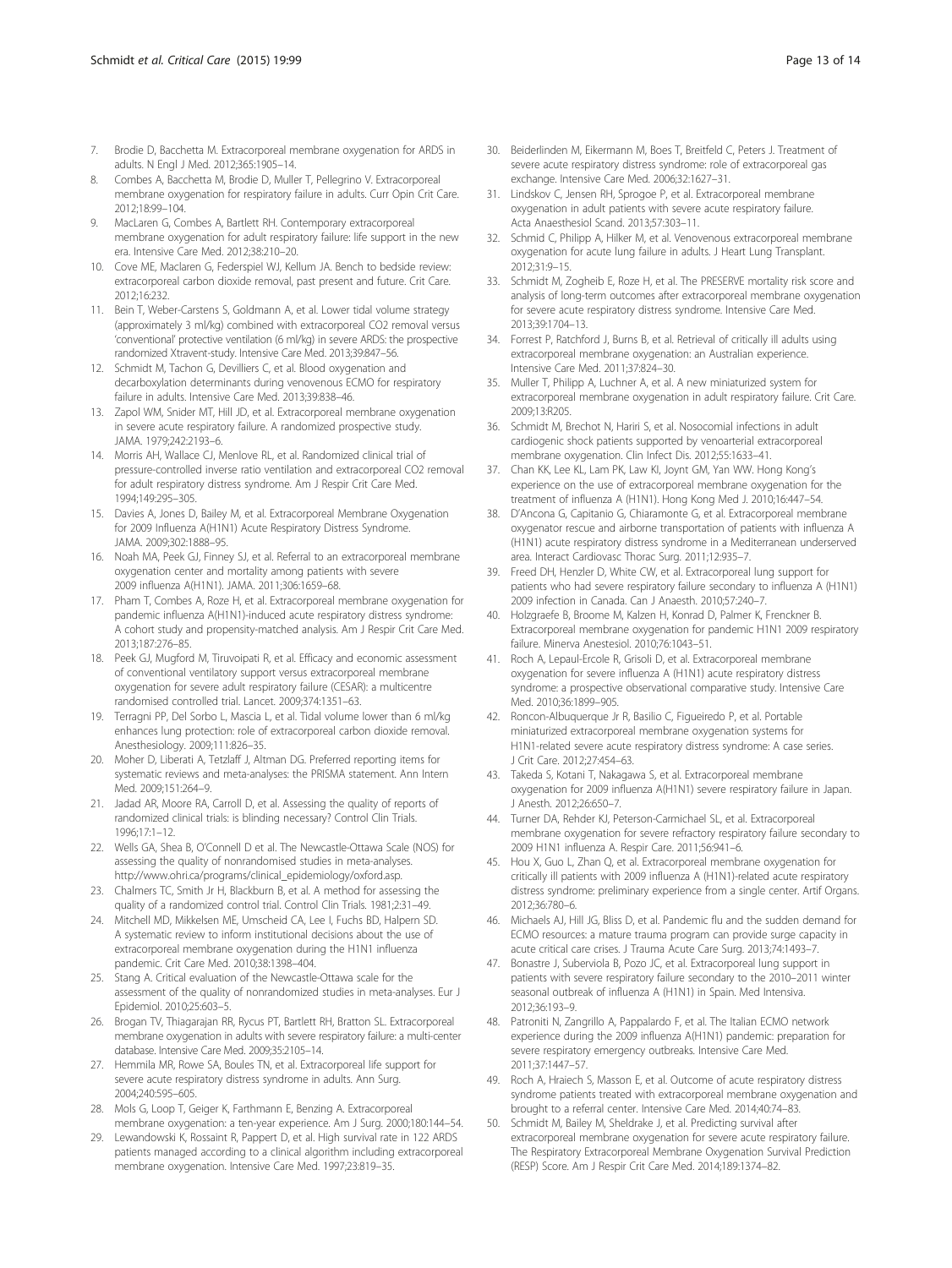- <span id="page-12-0"></span>7. Brodie D, Bacchetta M. Extracorporeal membrane oxygenation for ARDS in adults. N Engl J Med. 2012;365:1905–14.
- 8. Combes A, Bacchetta M, Brodie D, Muller T, Pellegrino V. Extracorporeal membrane oxygenation for respiratory failure in adults. Curr Opin Crit Care. 2012;18:99–104.
- 9. MacLaren G, Combes A, Bartlett RH. Contemporary extracorporeal membrane oxygenation for adult respiratory failure: life support in the new era. Intensive Care Med. 2012;38:210–20.
- 10. Cove ME, Maclaren G, Federspiel WJ, Kellum JA. Bench to bedside review: extracorporeal carbon dioxide removal, past present and future. Crit Care. 2012;16:232.
- 11. Bein T, Weber-Carstens S, Goldmann A, et al. Lower tidal volume strategy (approximately 3 ml/kg) combined with extracorporeal CO2 removal versus 'conventional' protective ventilation (6 ml/kg) in severe ARDS: the prospective randomized Xtravent-study. Intensive Care Med. 2013;39:847–56.
- 12. Schmidt M, Tachon G, Devilliers C, et al. Blood oxygenation and decarboxylation determinants during venovenous ECMO for respiratory failure in adults. Intensive Care Med. 2013;39:838–46.
- 13. Zapol WM, Snider MT, Hill JD, et al. Extracorporeal membrane oxygenation in severe acute respiratory failure. A randomized prospective study. JAMA. 1979;242:2193–6.
- 14. Morris AH, Wallace CJ, Menlove RL, et al. Randomized clinical trial of pressure-controlled inverse ratio ventilation and extracorporeal CO2 removal for adult respiratory distress syndrome. Am J Respir Crit Care Med. 1994;149:295–305.
- 15. Davies A, Jones D, Bailey M, et al. Extracorporeal Membrane Oxygenation for 2009 Influenza A(H1N1) Acute Respiratory Distress Syndrome. JAMA. 2009;302:1888–95.
- 16. Noah MA, Peek GJ, Finney SJ, et al. Referral to an extracorporeal membrane oxygenation center and mortality among patients with severe 2009 influenza A(H1N1). JAMA. 2011;306:1659–68.
- 17. Pham T, Combes A, Roze H, et al. Extracorporeal membrane oxygenation for pandemic influenza A(H1N1)-induced acute respiratory distress syndrome: A cohort study and propensity-matched analysis. Am J Respir Crit Care Med. 2013;187:276–85.
- 18. Peek GJ, Mugford M, Tiruvoipati R, et al. Efficacy and economic assessment of conventional ventilatory support versus extracorporeal membrane oxygenation for severe adult respiratory failure (CESAR): a multicentre randomised controlled trial. Lancet. 2009;374:1351–63.
- 19. Terragni PP, Del Sorbo L, Mascia L, et al. Tidal volume lower than 6 ml/kg enhances lung protection: role of extracorporeal carbon dioxide removal. Anesthesiology. 2009;111:826–35.
- 20. Moher D, Liberati A, Tetzlaff J, Altman DG. Preferred reporting items for systematic reviews and meta-analyses: the PRISMA statement. Ann Intern Med. 2009;151:264–9.
- 21. Jadad AR, Moore RA, Carroll D, et al. Assessing the quality of reports of randomized clinical trials: is blinding necessary? Control Clin Trials. 1996;17:1–12.
- 22. Wells GA, Shea B, O'Connell D et al. The Newcastle-Ottawa Scale (NOS) for assessing the quality of nonrandomised studies in meta-analyses. [http://www.ohri.ca/programs/clinical\\_epidemiology/oxford.asp.](http://www.ohri.ca/programs/clinical_epidemiology/oxford.asp)
- 23. Chalmers TC, Smith Jr H, Blackburn B, et al. A method for assessing the quality of a randomized control trial. Control Clin Trials. 1981;2:31–49.
- 24. Mitchell MD, Mikkelsen ME, Umscheid CA, Lee I, Fuchs BD, Halpern SD. A systematic review to inform institutional decisions about the use of extracorporeal membrane oxygenation during the H1N1 influenza pandemic. Crit Care Med. 2010;38:1398–404.
- 25. Stang A. Critical evaluation of the Newcastle-Ottawa scale for the assessment of the quality of nonrandomized studies in meta-analyses. Eur J Epidemiol. 2010;25:603–5.
- 26. Brogan TV, Thiagarajan RR, Rycus PT, Bartlett RH, Bratton SL. Extracorporeal membrane oxygenation in adults with severe respiratory failure: a multi-center database. Intensive Care Med. 2009;35:2105–14.
- 27. Hemmila MR, Rowe SA, Boules TN, et al. Extracorporeal life support for severe acute respiratory distress syndrome in adults. Ann Surg. 2004;240:595–605.
- 28. Mols G, Loop T, Geiger K, Farthmann E, Benzing A. Extracorporeal membrane oxygenation: a ten-year experience. Am J Surg. 2000;180:144–54.
- 29. Lewandowski K, Rossaint R, Pappert D, et al. High survival rate in 122 ARDS patients managed according to a clinical algorithm including extracorporeal membrane oxygenation. Intensive Care Med. 1997;23:819–35.
- 30. Beiderlinden M, Eikermann M, Boes T, Breitfeld C, Peters J. Treatment of severe acute respiratory distress syndrome: role of extracorporeal gas exchange. Intensive Care Med. 2006;32:1627–31.
- 31. Lindskov C, Jensen RH, Sprogoe P, et al. Extracorporeal membrane oxygenation in adult patients with severe acute respiratory failure. Acta Anaesthesiol Scand. 2013;57:303–11.
- 32. Schmid C, Philipp A, Hilker M, et al. Venovenous extracorporeal membrane oxygenation for acute lung failure in adults. J Heart Lung Transplant. 2012;31:9–15.
- 33. Schmidt M, Zogheib E, Roze H, et al. The PRESERVE mortality risk score and analysis of long-term outcomes after extracorporeal membrane oxygenation for severe acute respiratory distress syndrome. Intensive Care Med. 2013;39:1704–13.
- 34. Forrest P, Ratchford J, Burns B, et al. Retrieval of critically ill adults using extracorporeal membrane oxygenation: an Australian experience. Intensive Care Med. 2011;37:824–30.
- 35. Muller T, Philipp A, Luchner A, et al. A new miniaturized system for extracorporeal membrane oxygenation in adult respiratory failure. Crit Care. 2009;13:R205.
- 36. Schmidt M, Brechot N, Hariri S, et al. Nosocomial infections in adult cardiogenic shock patients supported by venoarterial extracorporeal membrane oxygenation. Clin Infect Dis. 2012;55:1633–41.
- 37. Chan KK, Lee KL, Lam PK, Law KI, Joynt GM, Yan WW. Hong Kong's experience on the use of extracorporeal membrane oxygenation for the treatment of influenza A (H1N1). Hong Kong Med J. 2010;16:447–54.
- 38. D'Ancona G, Capitanio G, Chiaramonte G, et al. Extracorporeal membrane oxygenator rescue and airborne transportation of patients with influenza A (H1N1) acute respiratory distress syndrome in a Mediterranean underserved area. Interact Cardiovasc Thorac Surg. 2011;12:935–7.
- 39. Freed DH, Henzler D, White CW, et al. Extracorporeal lung support for patients who had severe respiratory failure secondary to influenza A (H1N1) 2009 infection in Canada. Can J Anaesth. 2010;57:240–7.
- 40. Holzgraefe B, Broome M, Kalzen H, Konrad D, Palmer K, Frenckner B. Extracorporeal membrane oxygenation for pandemic H1N1 2009 respiratory failure. Minerva Anestesiol. 2010;76:1043–51.
- 41. Roch A, Lepaul-Ercole R, Grisoli D, et al. Extracorporeal membrane oxygenation for severe influenza A (H1N1) acute respiratory distress syndrome: a prospective observational comparative study. Intensive Care Med. 2010;36:1899–905.
- 42. Roncon-Albuquerque Jr R, Basilio C, Figueiredo P, et al. Portable miniaturized extracorporeal membrane oxygenation systems for H1N1-related severe acute respiratory distress syndrome: A case series. J Crit Care. 2012;27:454–63.
- 43. Takeda S, Kotani T, Nakagawa S, et al. Extracorporeal membrane oxygenation for 2009 influenza A(H1N1) severe respiratory failure in Japan. J Anesth. 2012;26:650–7.
- 44. Turner DA, Rehder KJ, Peterson-Carmichael SL, et al. Extracorporeal membrane oxygenation for severe refractory respiratory failure secondary to 2009 H1N1 influenza A. Respir Care. 2011;56:941–6.
- 45. Hou X, Guo L, Zhan Q, et al. Extracorporeal membrane oxygenation for critically ill patients with 2009 influenza A (H1N1)-related acute respiratory distress syndrome: preliminary experience from a single center. Artif Organs. 2012;36:780–6.
- 46. Michaels AJ, Hill JG, Bliss D, et al. Pandemic flu and the sudden demand for ECMO resources: a mature trauma program can provide surge capacity in acute critical care crises. J Trauma Acute Care Surg. 2013;74:1493–7.
- 47. Bonastre J, Suberviola B, Pozo JC, et al. Extracorporeal lung support in patients with severe respiratory failure secondary to the 2010–2011 winter seasonal outbreak of influenza A (H1N1) in Spain. Med Intensiva. 2012;36:193–9.
- 48. Patroniti N, Zangrillo A, Pappalardo F, et al. The Italian ECMO network experience during the 2009 influenza A(H1N1) pandemic: preparation for severe respiratory emergency outbreaks. Intensive Care Med. 2011;37:1447–57.
- 49. Roch A, Hraiech S, Masson E, et al. Outcome of acute respiratory distress syndrome patients treated with extracorporeal membrane oxygenation and brought to a referral center. Intensive Care Med. 2014;40:74–83.
- Schmidt M, Bailey M, Sheldrake J, et al. Predicting survival after extracorporeal membrane oxygenation for severe acute respiratory failure. The Respiratory Extracorporeal Membrane Oxygenation Survival Prediction (RESP) Score. Am J Respir Crit Care Med. 2014;189:1374–82.